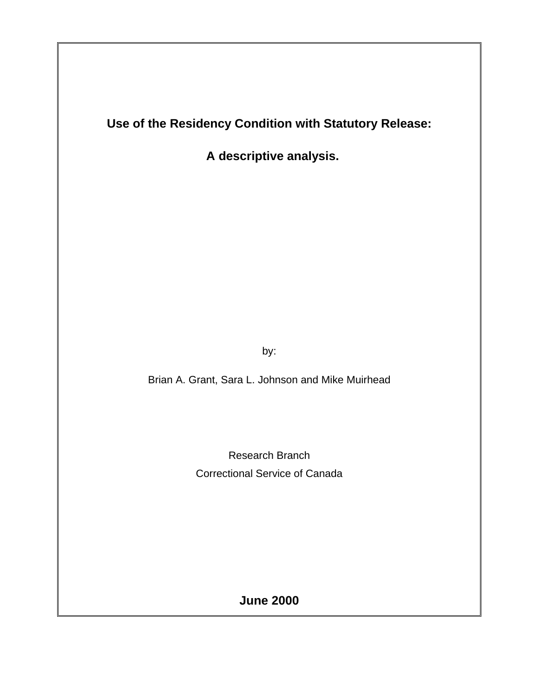**Use of the Residency Condition with Statutory Release:**

 **A descriptive analysis.**

by:

Brian A. Grant, Sara L. Johnson and Mike Muirhead

Research Branch Correctional Service of Canada

**June 2000**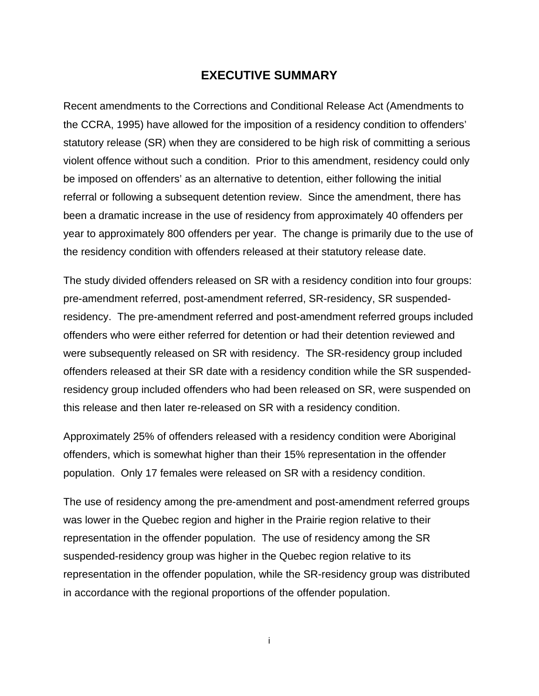## <span id="page-2-0"></span>**EXECUTIVE SUMMARY**

Recent amendments to the Corrections and Conditional Release Act (Amendments to the CCRA, 1995) have allowed for the imposition of a residency condition to offenders' statutory release (SR) when they are considered to be high risk of committing a serious violent offence without such a condition. Prior to this amendment, residency could only be imposed on offenders' as an alternative to detention, either following the initial referral or following a subsequent detention review. Since the amendment, there has been a dramatic increase in the use of residency from approximately 40 offenders per year to approximately 800 offenders per year. The change is primarily due to the use of the residency condition with offenders released at their statutory release date.

The study divided offenders released on SR with a residency condition into four groups: pre-amendment referred, post-amendment referred, SR-residency, SR suspendedresidency. The pre-amendment referred and post-amendment referred groups included offenders who were either referred for detention or had their detention reviewed and were subsequently released on SR with residency. The SR-residency group included offenders released at their SR date with a residency condition while the SR suspendedresidency group included offenders who had been released on SR, were suspended on this release and then later re-released on SR with a residency condition.

Approximately 25% of offenders released with a residency condition were Aboriginal offenders, which is somewhat higher than their 15% representation in the offender population. Only 17 females were released on SR with a residency condition.

The use of residency among the pre-amendment and post-amendment referred groups was lower in the Quebec region and higher in the Prairie region relative to their representation in the offender population. The use of residency among the SR suspended-residency group was higher in the Quebec region relative to its representation in the offender population, while the SR-residency group was distributed in accordance with the regional proportions of the offender population.

i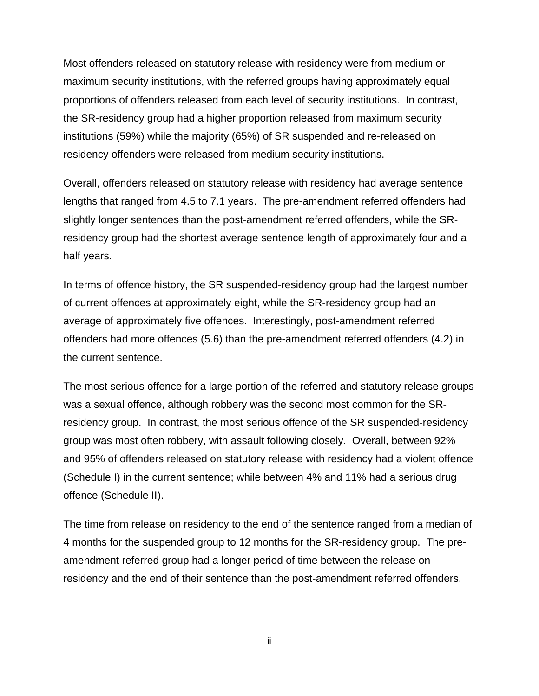Most offenders released on statutory release with residency were from medium or maximum security institutions, with the referred groups having approximately equal proportions of offenders released from each level of security institutions. In contrast, the SR-residency group had a higher proportion released from maximum security institutions (59%) while the majority (65%) of SR suspended and re-released on residency offenders were released from medium security institutions.

Overall, offenders released on statutory release with residency had average sentence lengths that ranged from 4.5 to 7.1 years. The pre-amendment referred offenders had slightly longer sentences than the post-amendment referred offenders, while the SRresidency group had the shortest average sentence length of approximately four and a half years.

In terms of offence history, the SR suspended-residency group had the largest number of current offences at approximately eight, while the SR-residency group had an average of approximately five offences. Interestingly, post-amendment referred offenders had more offences (5.6) than the pre-amendment referred offenders (4.2) in the current sentence.

The most serious offence for a large portion of the referred and statutory release groups was a sexual offence, although robbery was the second most common for the SRresidency group. In contrast, the most serious offence of the SR suspended-residency group was most often robbery, with assault following closely. Overall, between 92% and 95% of offenders released on statutory release with residency had a violent offence (Schedule I) in the current sentence; while between 4% and 11% had a serious drug offence (Schedule II).

The time from release on residency to the end of the sentence ranged from a median of 4 months for the suspended group to 12 months for the SR-residency group. The preamendment referred group had a longer period of time between the release on residency and the end of their sentence than the post-amendment referred offenders.

ii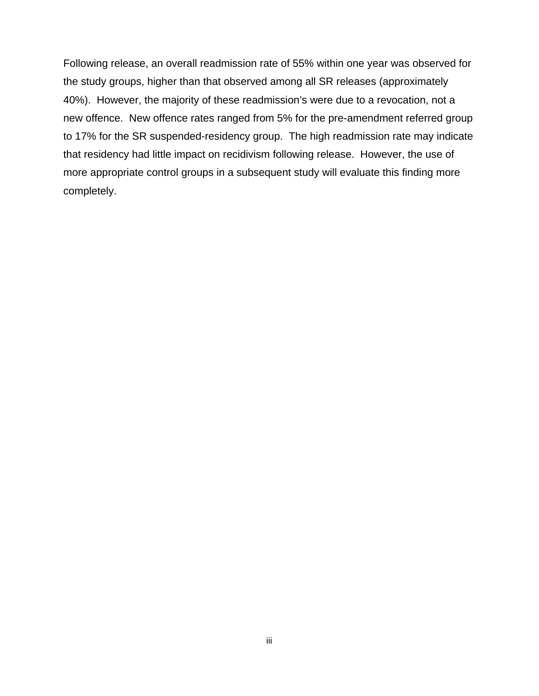Following release, an overall readmission rate of 55% within one year was observed for the study groups, higher than that observed among all SR releases (approximately 40%). However, the majority of these readmission's were due to a revocation, not a new offence. New offence rates ranged from 5% for the pre-amendment referred group to 17% for the SR suspended-residency group. The high readmission rate may indicate that residency had little impact on recidivism following release. However, the use of more appropriate control groups in a subsequent study will evaluate this finding more completely.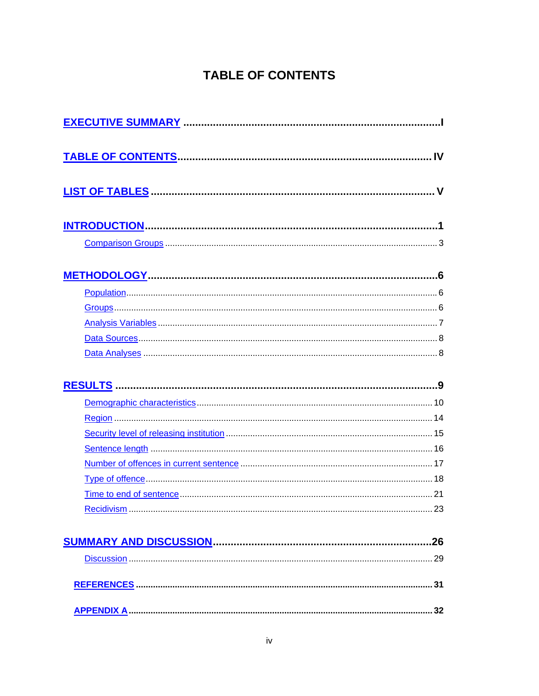# <span id="page-5-0"></span>**TABLE OF CONTENTS**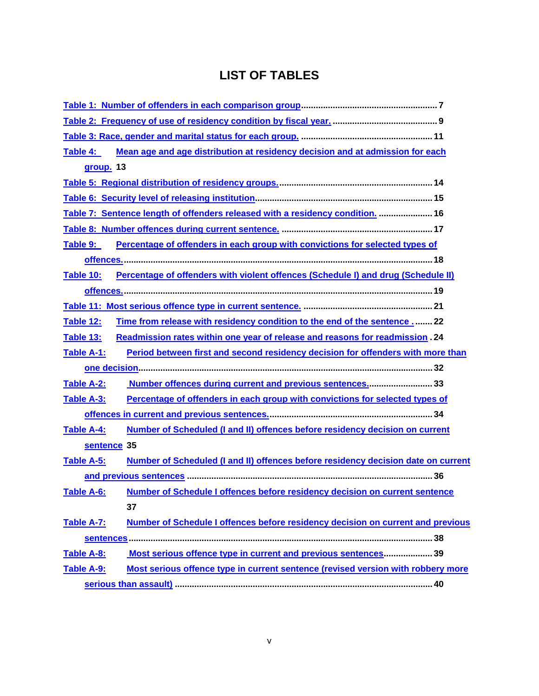# <span id="page-6-0"></span>**LIST OF TABLES**

| Mean age and age distribution at residency decision and at admission for each<br>Table 4:              |
|--------------------------------------------------------------------------------------------------------|
| group. 13                                                                                              |
|                                                                                                        |
|                                                                                                        |
| Table 7: Sentence length of offenders released with a residency condition.  16                         |
|                                                                                                        |
| Percentage of offenders in each group with convictions for selected types of<br>Table 9:               |
|                                                                                                        |
| Table 10:<br>Percentage of offenders with violent offences (Schedule I) and drug (Schedule II)         |
|                                                                                                        |
|                                                                                                        |
| Time from release with residency condition to the end of the sentence 22<br>Table 12:                  |
| Readmission rates within one year of release and reasons for readmission . 24<br><b>Table 13:</b>      |
| Period between first and second residency decision for offenders with more than<br>Table A-1:          |
|                                                                                                        |
| Number offences during current and previous sentences33<br>Table A-2:                                  |
| Table A-3:<br>Percentage of offenders in each group with convictions for selected types of             |
|                                                                                                        |
| Number of Scheduled (I and II) offences before residency decision on current<br>Table A-4:             |
| sentence 35                                                                                            |
| Table A-5:<br><b>Number of Scheduled (I and II) offences before residency decision date on current</b> |
|                                                                                                        |
| Number of Schedule I offences before residency decision on current sentence<br>Table A-6:              |
| 37                                                                                                     |
| Number of Schedule I offences before residency decision on current and previous<br>Table A-7:          |
|                                                                                                        |
| Most serious offence type in current and previous sentences 39<br>Table A-8:                           |
| Most serious offence type in current sentence (revised version with robbery more<br>Table A-9:         |
|                                                                                                        |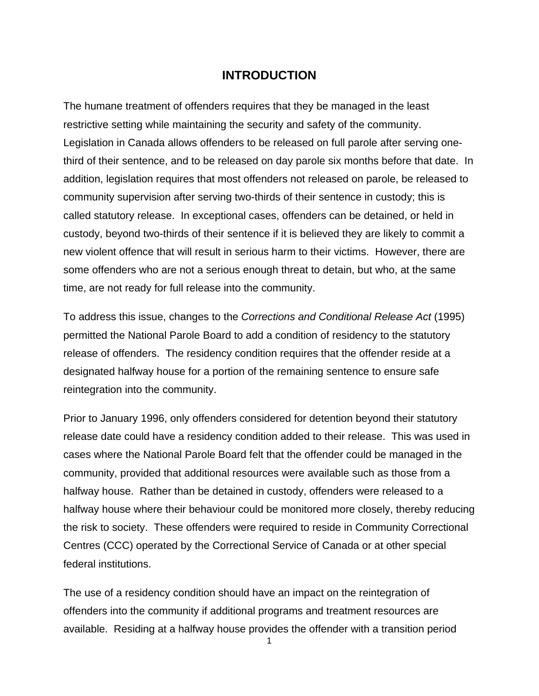## <span id="page-8-0"></span>**INTRODUCTION**

The humane treatment of offenders requires that they be managed in the least restrictive setting while maintaining the security and safety of the community. Legislation in Canada allows offenders to be released on full parole after serving onethird of their sentence, and to be released on day parole six months before that date. In addition, legislation requires that most offenders not released on parole, be released to community supervision after serving two-thirds of their sentence in custody; this is called statutory release. In exceptional cases, offenders can be detained, or held in custody, beyond two-thirds of their sentence if it is believed they are likely to commit a new violent offence that will result in serious harm to their victims. However, there are some offenders who are not a serious enough threat to detain, but who, at the same time, are not ready for full release into the community.

To address this issue, changes to the *Corrections and Conditional Release Act* (1995) permitted the National Parole Board to add a condition of residency to the statutory release of offenders. The residency condition requires that the offender reside at a designated halfway house for a portion of the remaining sentence to ensure safe reintegration into the community.

Prior to January 1996, only offenders considered for detention beyond their statutory release date could have a residency condition added to their release. This was used in cases where the National Parole Board felt that the offender could be managed in the community, provided that additional resources were available such as those from a halfway house. Rather than be detained in custody, offenders were released to a halfway house where their behaviour could be monitored more closely, thereby reducing the risk to society. These offenders were required to reside in Community Correctional Centres (CCC) operated by the Correctional Service of Canada or at other special federal institutions.

The use of a residency condition should have an impact on the reintegration of offenders into the community if additional programs and treatment resources are available. Residing at a halfway house provides the offender with a transition period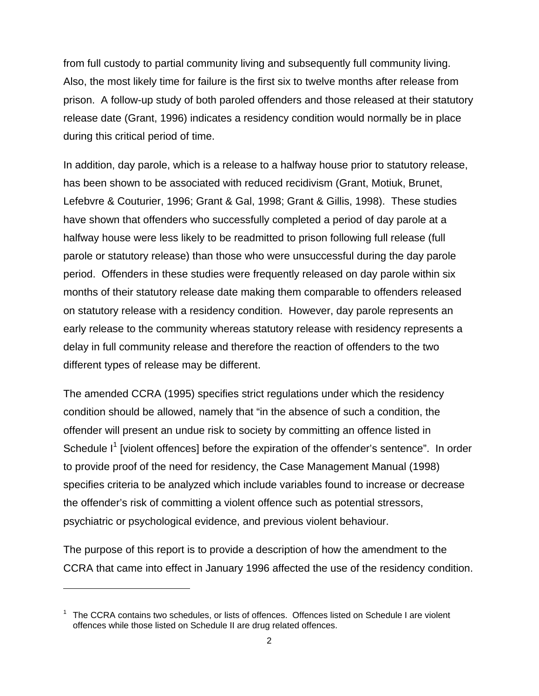from full custody to partial community living and subsequently full community living. Also, the most likely time for failure is the first six to twelve months after release from prison. A follow-up study of both paroled offenders and those released at their statutory release date (Grant, 1996) indicates a residency condition would normally be in place during this critical period of time.

In addition, day parole, which is a release to a halfway house prior to statutory release, has been shown to be associated with reduced recidivism (Grant, Motiuk, Brunet, Lefebvre & Couturier, 1996; Grant & Gal, 1998; Grant & Gillis, 1998). These studies have shown that offenders who successfully completed a period of day parole at a halfway house were less likely to be readmitted to prison following full release (full parole or statutory release) than those who were unsuccessful during the day parole period. Offenders in these studies were frequently released on day parole within six months of their statutory release date making them comparable to offenders released on statutory release with a residency condition. However, day parole represents an early release to the community whereas statutory release with residency represents a delay in full community release and therefore the reaction of offenders to the two different types of release may be different.

The amended CCRA (1995) specifies strict regulations under which the residency condition should be allowed, namely that "in the absence of such a condition, the offender will present an undue risk to society by committing an offence listed in Schedule I<sup>[1](#page-9-0)</sup> [violent offences] before the expiration of the offender's sentence". In order to provide proof of the need for residency, the Case Management Manual (1998) specifies criteria to be analyzed which include variables found to increase or decrease the offender's risk of committing a violent offence such as potential stressors, psychiatric or psychological evidence, and previous violent behaviour.

The purpose of this report is to provide a description of how the amendment to the CCRA that came into effect in January 1996 affected the use of the residency condition.

 $\overline{a}$ 

<span id="page-9-0"></span><sup>1</sup> The CCRA contains two schedules, or lists of offences. Offences listed on Schedule I are violent offences while those listed on Schedule II are drug related offences.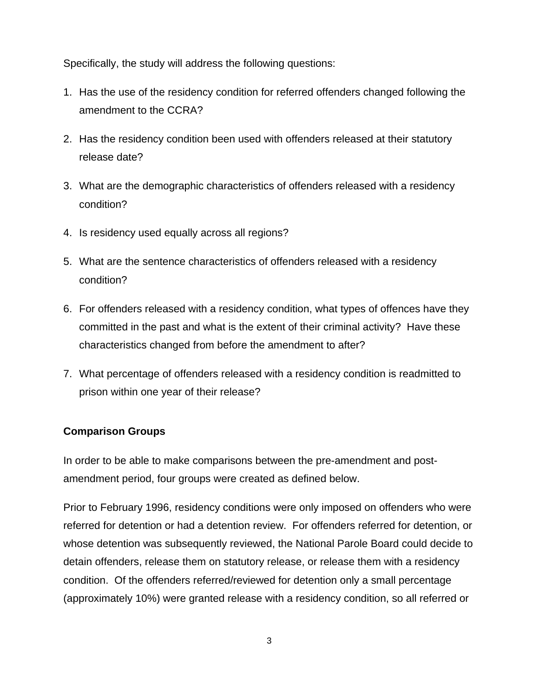Specifically, the study will address the following questions:

- 1. Has the use of the residency condition for referred offenders changed following the amendment to the CCRA?
- 2. Has the residency condition been used with offenders released at their statutory release date?
- 3. What are the demographic characteristics of offenders released with a residency condition?
- 4. Is residency used equally across all regions?
- 5. What are the sentence characteristics of offenders released with a residency condition?
- 6. For offenders released with a residency condition, what types of offences have they committed in the past and what is the extent of their criminal activity? Have these characteristics changed from before the amendment to after?
- 7. What percentage of offenders released with a residency condition is readmitted to prison within one year of their release?

## <span id="page-10-0"></span>**Comparison Groups**

In order to be able to make comparisons between the pre-amendment and postamendment period, four groups were created as defined below.

Prior to February 1996, residency conditions were only imposed on offenders who were referred for detention or had a detention review. For offenders referred for detention, or whose detention was subsequently reviewed, the National Parole Board could decide to detain offenders, release them on statutory release, or release them with a residency condition. Of the offenders referred/reviewed for detention only a small percentage (approximately 10%) were granted release with a residency condition, so all referred or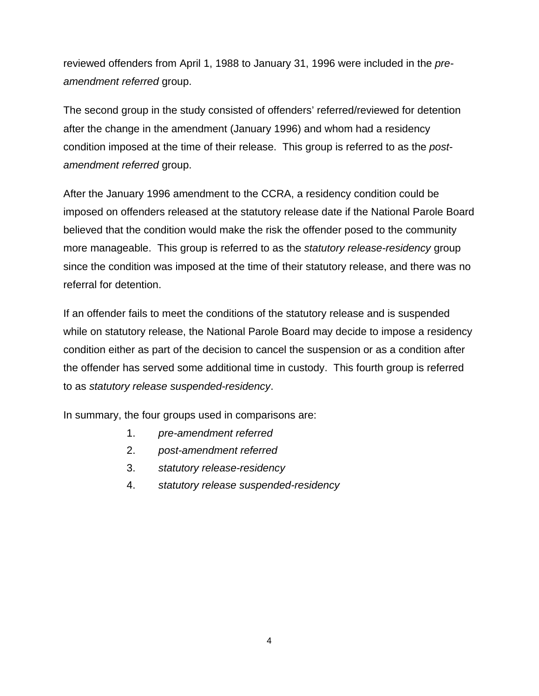reviewed offenders from April 1, 1988 to January 31, 1996 were included in the *preamendment referred* group.

The second group in the study consisted of offenders' referred/reviewed for detention after the change in the amendment (January 1996) and whom had a residency condition imposed at the time of their release. This group is referred to as the *postamendment referred* group.

After the January 1996 amendment to the CCRA, a residency condition could be imposed on offenders released at the statutory release date if the National Parole Board believed that the condition would make the risk the offender posed to the community more manageable. This group is referred to as the *statutory release-residency* group since the condition was imposed at the time of their statutory release, and there was no referral for detention.

If an offender fails to meet the conditions of the statutory release and is suspended while on statutory release, the National Parole Board may decide to impose a residency condition either as part of the decision to cancel the suspension or as a condition after the offender has served some additional time in custody. This fourth group is referred to as *statutory release suspended-residency*.

In summary, the four groups used in comparisons are:

- 1. *pre-amendment referred*
- 2. *post-amendment referred*
- 3. *statutory release-residency*
- 4. *statutory release suspended-residency*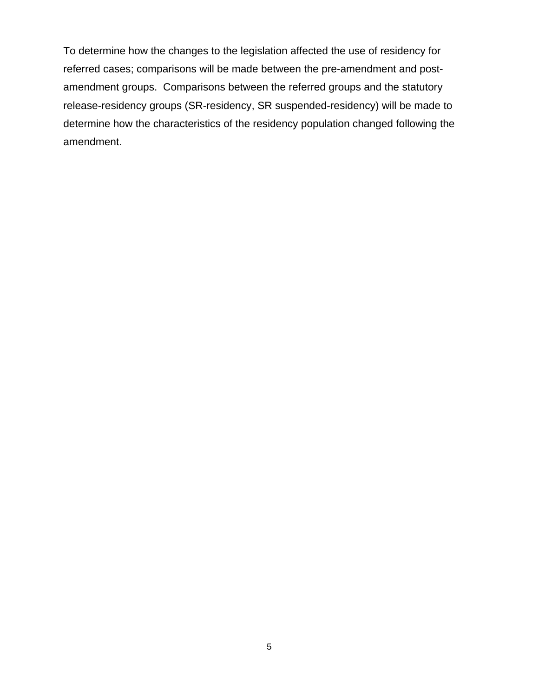To determine how the changes to the legislation affected the use of residency for referred cases; comparisons will be made between the pre-amendment and postamendment groups. Comparisons between the referred groups and the statutory release-residency groups (SR-residency, SR suspended-residency) will be made to determine how the characteristics of the residency population changed following the amendment.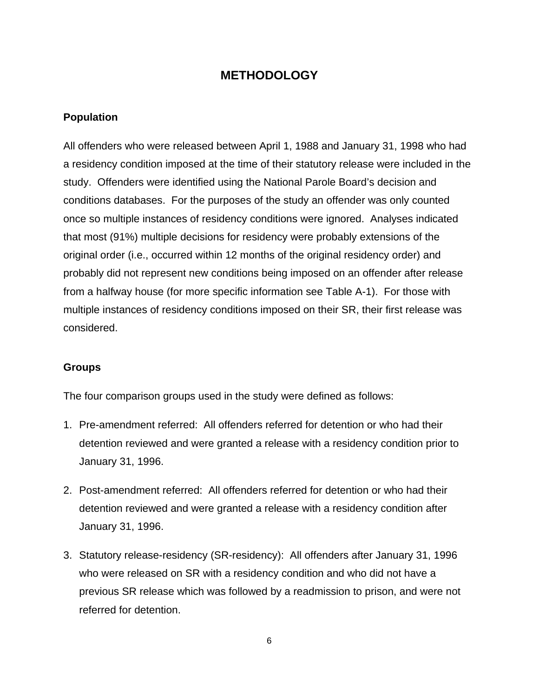# <span id="page-13-0"></span>**METHODOLOGY**

### <span id="page-13-1"></span>**Population**

All offenders who were released between April 1, 1988 and January 31, 1998 who had a residency condition imposed at the time of their statutory release were included in the study. Offenders were identified using the National Parole Board's decision and conditions databases. For the purposes of the study an offender was only counted once so multiple instances of residency conditions were ignored. Analyses indicated that most (91%) multiple decisions for residency were probably extensions of the original order (i.e., occurred within 12 months of the original residency order) and probably did not represent new conditions being imposed on an offender after release from a halfway house (for more specific information see [Table A-1\)](#page-39-1). For those with multiple instances of residency conditions imposed on their SR, their first release was considered.

### <span id="page-13-2"></span>**Groups**

The four comparison groups used in the study were defined as follows:

- 1. Pre-amendment referred: All offenders referred for detention or who had their detention reviewed and were granted a release with a residency condition prior to January 31, 1996.
- 2. Post-amendment referred: All offenders referred for detention or who had their detention reviewed and were granted a release with a residency condition after January 31, 1996.
- 3. Statutory release-residency (SR-residency): All offenders after January 31, 1996 who were released on SR with a residency condition and who did not have a previous SR release which was followed by a readmission to prison, and were not referred for detention.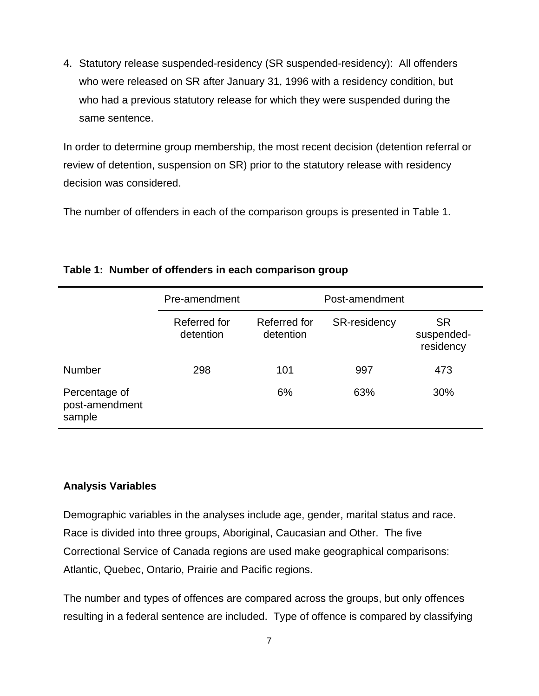4. Statutory release suspended-residency (SR suspended-residency): All offenders who were released on SR after January 31, 1996 with a residency condition, but who had a previous statutory release for which they were suspended during the same sentence.

In order to determine group membership, the most recent decision (detention referral or review of detention, suspension on SR) prior to the statutory release with residency decision was considered.

The number of offenders in each of the comparison groups is presented in [Table 1.](#page-14-1)

|                                           | Pre-amendment             |                           | Post-amendment      |                                      |
|-------------------------------------------|---------------------------|---------------------------|---------------------|--------------------------------------|
|                                           | Referred for<br>detention | Referred for<br>detention | <b>SR-residency</b> | <b>SR</b><br>suspended-<br>residency |
| <b>Number</b>                             | 298                       | 101                       | 997                 | 473                                  |
| Percentage of<br>post-amendment<br>sample |                           | 6%                        | 63%                 | 30%                                  |

### <span id="page-14-1"></span>**Table 1: Number of offenders in each comparison group**

### <span id="page-14-0"></span>**Analysis Variables**

Demographic variables in the analyses include age, gender, marital status and race. Race is divided into three groups, Aboriginal, Caucasian and Other. The five Correctional Service of Canada regions are used make geographical comparisons: Atlantic, Quebec, Ontario, Prairie and Pacific regions.

The number and types of offences are compared across the groups, but only offences resulting in a federal sentence are included. Type of offence is compared by classifying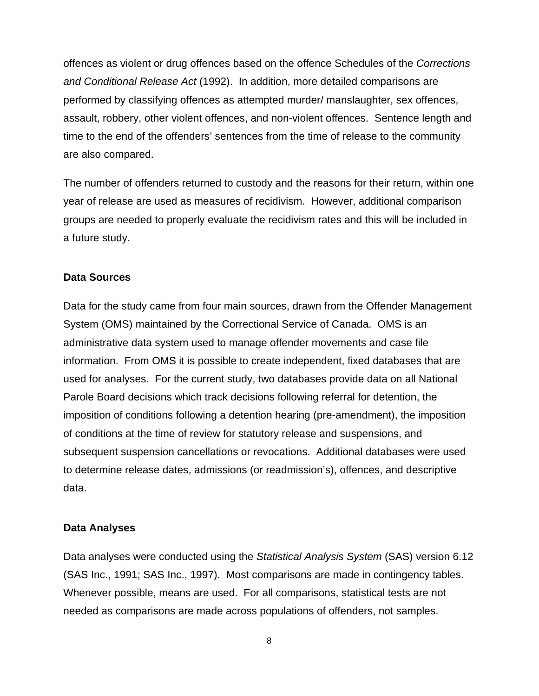offences as violent or drug offences based on the offence Schedules of the *Corrections and Conditional Release Act* (1992). In addition, more detailed comparisons are performed by classifying offences as attempted murder/ manslaughter, sex offences, assault, robbery, other violent offences, and non-violent offences. Sentence length and time to the end of the offenders' sentences from the time of release to the community are also compared.

The number of offenders returned to custody and the reasons for their return, within one year of release are used as measures of recidivism. However, additional comparison groups are needed to properly evaluate the recidivism rates and this will be included in a future study.

#### <span id="page-15-0"></span>**Data Sources**

Data for the study came from four main sources, drawn from the Offender Management System (OMS) maintained by the Correctional Service of Canada. OMS is an administrative data system used to manage offender movements and case file information. From OMS it is possible to create independent, fixed databases that are used for analyses. For the current study, two databases provide data on all National Parole Board decisions which track decisions following referral for detention, the imposition of conditions following a detention hearing (pre-amendment), the imposition of conditions at the time of review for statutory release and suspensions, and subsequent suspension cancellations or revocations. Additional databases were used to determine release dates, admissions (or readmission's), offences, and descriptive data.

#### <span id="page-15-1"></span>**Data Analyses**

Data analyses were conducted using the *Statistical Analysis System* (SAS) version 6.12 (SAS Inc., 1991; SAS Inc., 1997). Most comparisons are made in contingency tables. Whenever possible, means are used. For all comparisons, statistical tests are not needed as comparisons are made across populations of offenders, not samples.

8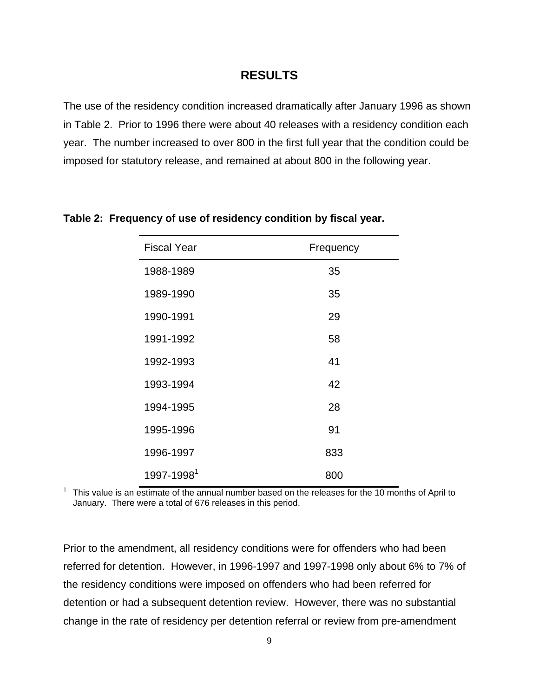## <span id="page-16-0"></span>**RESULTS**

The use of the residency condition increased dramatically after January 1996 as shown in [Table 2.](#page-16-1) Prior to 1996 there were about 40 releases with a residency condition each year. The number increased to over 800 in the first full year that the condition could be imposed for statutory release, and remained at about 800 in the following year.

| <b>Fiscal Year</b>     | Frequency |
|------------------------|-----------|
| 1988-1989              | 35        |
| 1989-1990              | 35        |
| 1990-1991              | 29        |
| 1991-1992              | 58        |
| 1992-1993              | 41        |
| 1993-1994              | 42        |
| 1994-1995              | 28        |
| 1995-1996              | 91        |
| 1996-1997              | 833       |
| 1997-1998 <sup>1</sup> | 800       |

### <span id="page-16-1"></span>**Table 2: Frequency of use of residency condition by fiscal year.**

<sup>1</sup> This value is an estimate of the annual number based on the releases for the 10 months of April to January. There were a total of 676 releases in this period.

Prior to the amendment, all residency conditions were for offenders who had been referred for detention. However, in 1996-1997 and 1997-1998 only about 6% to 7% of the residency conditions were imposed on offenders who had been referred for detention or had a subsequent detention review. However, there was no substantial change in the rate of residency per detention referral or review from pre-amendment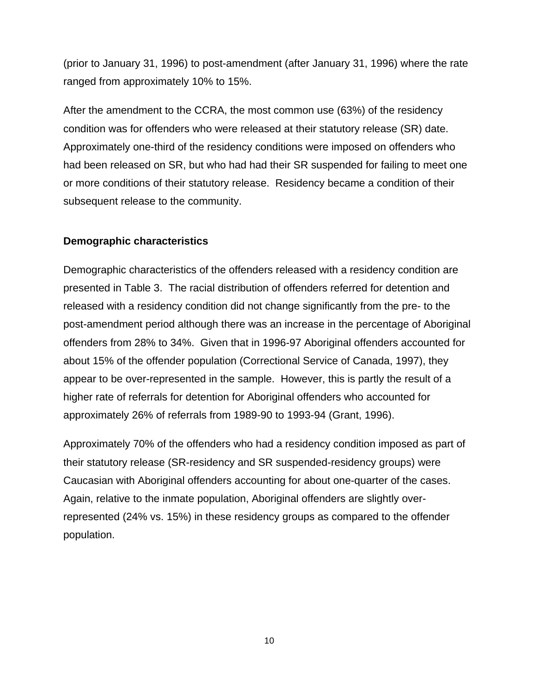(prior to January 31, 1996) to post-amendment (after January 31, 1996) where the rate ranged from approximately 10% to 15%.

After the amendment to the CCRA, the most common use (63%) of the residency condition was for offenders who were released at their statutory release (SR) date. Approximately one-third of the residency conditions were imposed on offenders who had been released on SR, but who had had their SR suspended for failing to meet one or more conditions of their statutory release. Residency became a condition of their subsequent release to the community.

### <span id="page-17-0"></span>**Demographic characteristics**

Demographic characteristics of the offenders released with a residency condition are presented in Table 3. The racial distribution of offenders referred for detention and released with a residency condition did not change significantly from the pre- to the post-amendment period although there was an increase in the percentage of Aboriginal offenders from 28% to 34%. Given that in 1996-97 Aboriginal offenders accounted for about 15% of the offender population (Correctional Service of Canada, 1997), they appear to be over-represented in the sample. However, this is partly the result of a higher rate of referrals for detention for Aboriginal offenders who accounted for approximately 26% of referrals from 1989-90 to 1993-94 (Grant, 1996).

Approximately 70% of the offenders who had a residency condition imposed as part of their statutory release (SR-residency and SR suspended-residency groups) were Caucasian with Aboriginal offenders accounting for about one-quarter of the cases. Again, relative to the inmate population, Aboriginal offenders are slightly overrepresented (24% vs. 15%) in these residency groups as compared to the offender population.

10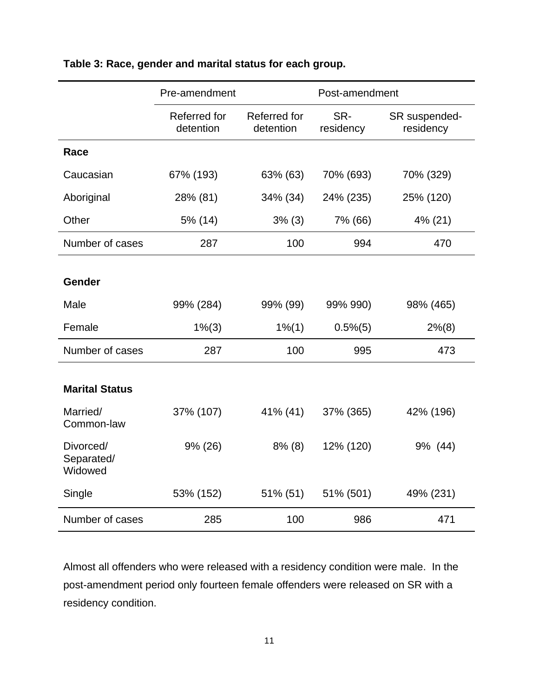|                                    | Pre-amendment             |                           | Post-amendment   |                            |  |
|------------------------------------|---------------------------|---------------------------|------------------|----------------------------|--|
|                                    | Referred for<br>detention | Referred for<br>detention | SR-<br>residency | SR suspended-<br>residency |  |
| Race                               |                           |                           |                  |                            |  |
| Caucasian                          | 67% (193)                 | 63% (63)                  | 70% (693)        | 70% (329)                  |  |
| Aboriginal                         | 28% (81)                  | 34% (34)                  | 24% (235)        | 25% (120)                  |  |
| Other                              | 5% (14)                   | 3% (3)                    | 7% (66)          | 4% (21)                    |  |
| Number of cases                    | 287                       | 100                       | 994              | 470                        |  |
|                                    |                           |                           |                  |                            |  |
| Gender                             |                           |                           |                  |                            |  |
| Male                               | 99% (284)                 | 99% (99)                  | 99% 990)         | 98% (465)                  |  |
| Female                             | $1\%$ (3)                 | 1% (1)                    | $0.5\%$ $(5)$    | $2\%$ (8)                  |  |
| Number of cases                    | 287                       | 100                       | 995              | 473                        |  |
|                                    |                           |                           |                  |                            |  |
| <b>Marital Status</b>              |                           |                           |                  |                            |  |
| Married/<br>Common-law             | 37% (107)                 | 41% (41)                  | 37% (365)        | 42% (196)                  |  |
| Divorced/<br>Separated/<br>Widowed | $9\% (26)$                | $8\%$ (8)                 | 12% (120)        | 9% (44)                    |  |
| Single                             | 53% (152)                 | 51% (51)                  | 51% (501)        | 49% (231)                  |  |
| Number of cases                    | 285                       | 100                       | 986              | 471                        |  |

## <span id="page-18-0"></span>**Table 3: Race, gender and marital status for each group.**

Almost all offenders who were released with a residency condition were male. In the post-amendment period only fourteen female offenders were released on SR with a residency condition.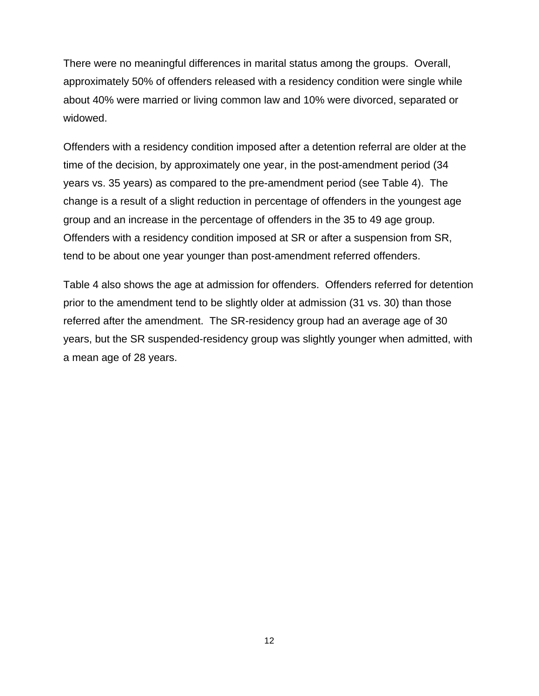There were no meaningful differences in marital status among the groups. Overall, approximately 50% of offenders released with a residency condition were single while about 40% were married or living common law and 10% were divorced, separated or widowed.

Offenders with a residency condition imposed after a detention referral are older at the time of the decision, by approximately one year, in the post-amendment period (34 years vs. 35 years) as compared to the pre-amendment period (see [Table 4\)](#page-20-0). The change is a result of a slight reduction in percentage of offenders in the youngest age group and an increase in the percentage of offenders in the 35 to 49 age group. Offenders with a residency condition imposed at SR or after a suspension from SR, tend to be about one year younger than post-amendment referred offenders.

[Table 4](#page-20-0) also shows the age at admission for offenders. Offenders referred for detention prior to the amendment tend to be slightly older at admission (31 vs. 30) than those referred after the amendment. The SR-residency group had an average age of 30 years, but the SR suspended-residency group was slightly younger when admitted, with a mean age of 28 years.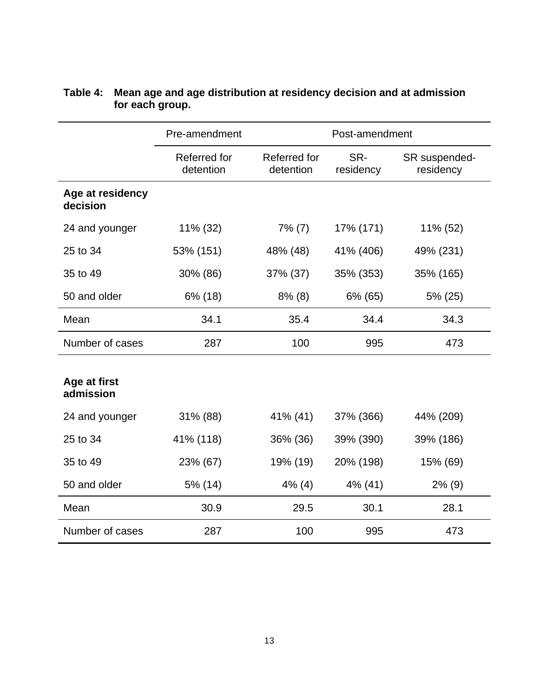|                              | Pre-amendment             | Post-amendment            |                  |                            |
|------------------------------|---------------------------|---------------------------|------------------|----------------------------|
|                              | Referred for<br>detention | Referred for<br>detention | SR-<br>residency | SR suspended-<br>residency |
| Age at residency<br>decision |                           |                           |                  |                            |
| 24 and younger               | $11\%$ (32)               | $7\%$ (7)                 | 17% (171)        | 11% (52)                   |
| 25 to 34                     | 53% (151)                 | 48% (48)                  | 41% (406)        | 49% (231)                  |
| 35 to 49                     | 30% (86)                  | 37% (37)                  | 35% (353)        | 35% (165)                  |
| 50 and older                 | 6% (18)                   | $8\%$ (8)                 | 6% (65)          | 5% (25)                    |
| Mean                         | 34.1                      | 35.4                      | 34.4             | 34.3                       |
| Number of cases              | 287                       | 100                       | 995              | 473                        |
| Age at first<br>admission    |                           |                           |                  |                            |
| 24 and younger               | 31% (88)                  | 41% (41)                  | 37% (366)        | 44% (209)                  |
| 25 to 34                     | 41% (118)                 | 36% (36)                  | 39% (390)        | 39% (186)                  |
| 35 to 49                     | 23% (67)                  | 19% (19)                  | 20% (198)        | 15% (69)                   |
| 50 and older                 | 5% (14)                   | $4\%$ (4)                 | 4% (41)          | $2\%$ (9)                  |
| Mean                         | 30.9                      | 29.5                      | 30.1             | 28.1                       |
| Number of cases              | 287                       | 100                       | 995              | 473                        |

### <span id="page-20-0"></span>**Table 4: Mean age and age distribution at residency decision and at admission for each group.**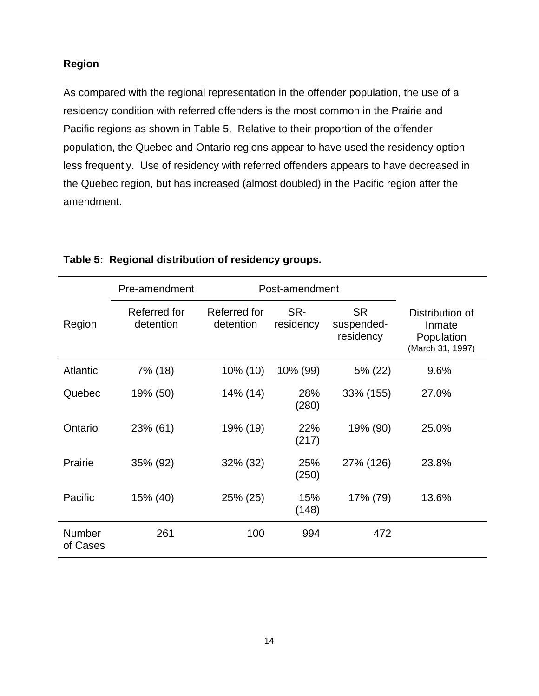## <span id="page-21-0"></span>**Region**

As compared with the regional representation in the offender population, the use of a residency condition with referred offenders is the most common in the Prairie and Pacific regions as shown in [Table 5.](#page-21-1) Relative to their proportion of the offender population, the Quebec and Ontario regions appear to have used the residency option less frequently. Use of residency with referred offenders appears to have decreased in the Quebec region, but has increased (almost doubled) in the Pacific region after the amendment.

|                           | Pre-amendment             | Post-amendment            |                  |                                      |                                                             |
|---------------------------|---------------------------|---------------------------|------------------|--------------------------------------|-------------------------------------------------------------|
| Region                    | Referred for<br>detention | Referred for<br>detention | SR-<br>residency | <b>SR</b><br>suspended-<br>residency | Distribution of<br>Inmate<br>Population<br>(March 31, 1997) |
| <b>Atlantic</b>           | 7% (18)                   | 10% (10)                  | 10% (99)         | 5% (22)                              | 9.6%                                                        |
| Quebec                    | 19% (50)                  | 14% (14)                  | 28%<br>(280)     | 33% (155)                            | 27.0%                                                       |
| Ontario                   | 23% (61)                  | 19% (19)                  | 22%<br>(217)     | 19% (90)                             | 25.0%                                                       |
| Prairie                   | 35% (92)                  | 32% (32)                  | 25%<br>(250)     | 27% (126)                            | 23.8%                                                       |
| Pacific                   | 15% (40)                  | 25% (25)                  | 15%<br>(148)     | 17% (79)                             | 13.6%                                                       |
| <b>Number</b><br>of Cases | 261                       | 100                       | 994              | 472                                  |                                                             |

### <span id="page-21-1"></span>**Table 5: Regional distribution of residency groups.**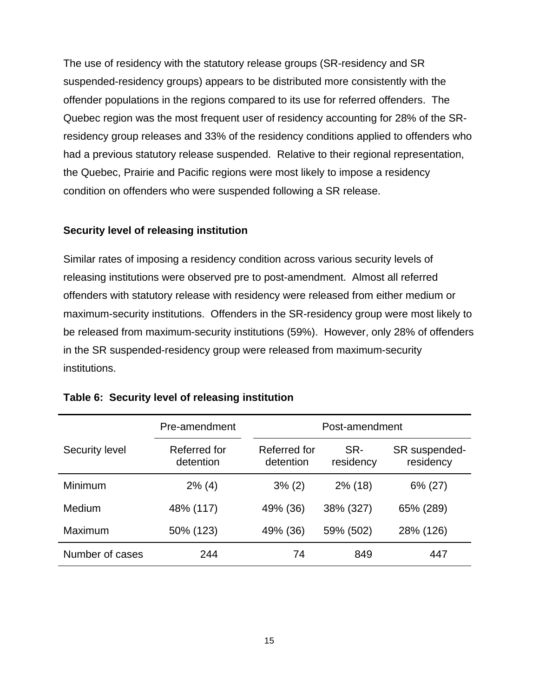The use of residency with the statutory release groups (SR-residency and SR suspended-residency groups) appears to be distributed more consistently with the offender populations in the regions compared to its use for referred offenders. The Quebec region was the most frequent user of residency accounting for 28% of the SRresidency group releases and 33% of the residency conditions applied to offenders who had a previous statutory release suspended. Relative to their regional representation, the Quebec, Prairie and Pacific regions were most likely to impose a residency condition on offenders who were suspended following a SR release.

### <span id="page-22-0"></span>**Security level of releasing institution**

Similar rates of imposing a residency condition across various security levels of releasing institutions were observed pre to post-amendment. Almost all referred offenders with statutory release with residency were released from either medium or maximum-security institutions. Offenders in the SR-residency group were most likely to be released from maximum-security institutions (59%). However, only 28% of offenders in the SR suspended-residency group were released from maximum-security institutions.

|                 | Pre-amendment             | Post-amendment            |                  |                            |  |
|-----------------|---------------------------|---------------------------|------------------|----------------------------|--|
| Security level  | Referred for<br>detention | Referred for<br>detention | SR-<br>residency | SR suspended-<br>residency |  |
| Minimum         | $2\%$ (4)                 | $3\%$ (2)                 | $2\%$ (18)       | 6% (27)                    |  |
| Medium          | 48% (117)                 | 49% (36)                  | 38% (327)        | 65% (289)                  |  |
| Maximum         | 50% (123)                 | 49% (36)                  | 59% (502)        | 28% (126)                  |  |
| Number of cases | 244                       | 74                        | 849              | 447                        |  |

### <span id="page-22-1"></span>**Table 6: Security level of releasing institution**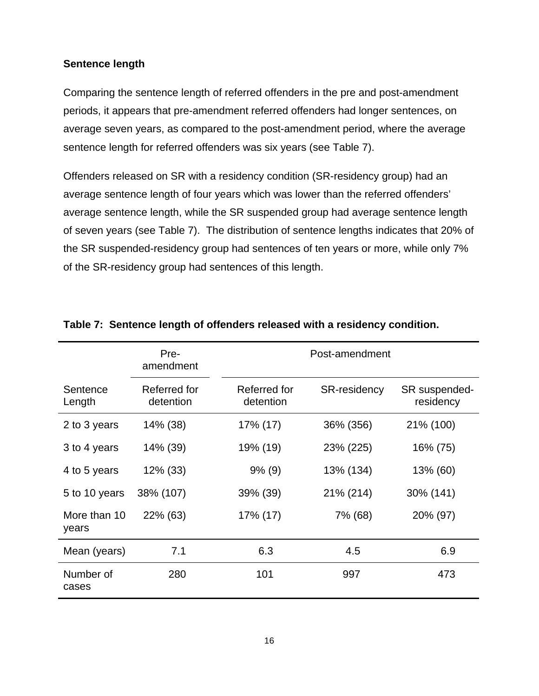### <span id="page-23-0"></span>**Sentence length**

Comparing the sentence length of referred offenders in the pre and post-amendment periods, it appears that pre-amendment referred offenders had longer sentences, on average seven years, as compared to the post-amendment period, where the average sentence length for referred offenders was six years (see [Table 7\)](#page-23-1).

Offenders released on SR with a residency condition (SR-residency group) had an average sentence length of four years which was lower than the referred offenders' average sentence length, while the SR suspended group had average sentence length of seven years (see [Table 7\)](#page-23-1). The distribution of sentence lengths indicates that 20% of the SR suspended-residency group had sentences of ten years or more, while only 7% of the SR-residency group had sentences of this length.

|                       | Pre-<br>amendment         | Post-amendment            |                     |                            |
|-----------------------|---------------------------|---------------------------|---------------------|----------------------------|
| Sentence<br>Length    | Referred for<br>detention | Referred for<br>detention | <b>SR-residency</b> | SR suspended-<br>residency |
| 2 to 3 years          | 14% (38)                  | 17% (17)                  | 36% (356)           | 21% (100)                  |
| 3 to 4 years          | 14% (39)                  | 19% (19)                  | 23% (225)           | 16% (75)                   |
| 4 to 5 years          | 12% (33)                  | $9\%$ (9)                 | 13% (134)           | 13% (60)                   |
| 5 to 10 years         | 38% (107)                 | 39% (39)                  | 21% (214)           | 30% (141)                  |
| More than 10<br>years | 22% (63)                  | 17% (17)                  | 7% (68)             | 20% (97)                   |
| Mean (years)          | 7.1                       | 6.3                       | 4.5                 | 6.9                        |
| Number of<br>cases    | 280                       | 101                       | 997                 | 473                        |

### <span id="page-23-1"></span>**Table 7: Sentence length of offenders released with a residency condition.**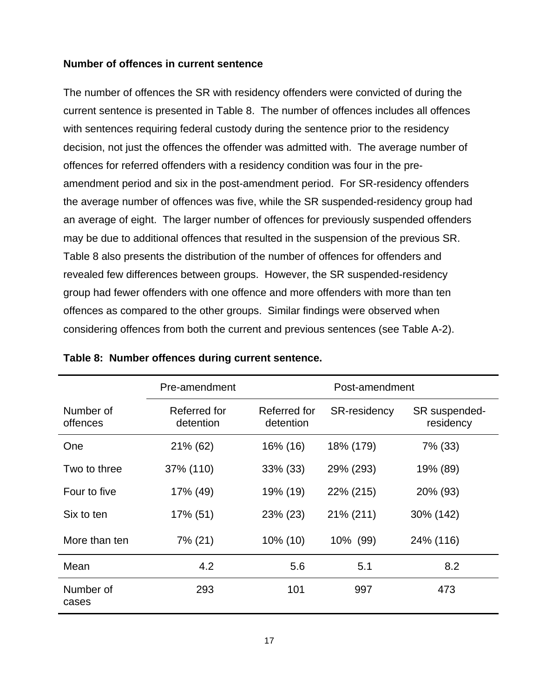### <span id="page-24-0"></span>**Number of offences in current sentence**

The number of offences the SR with residency offenders were convicted of during the current sentence is presented in Table 8. The number of offences includes all offences with sentences requiring federal custody during the sentence prior to the residency decision, not just the offences the offender was admitted with. The average number of offences for referred offenders with a residency condition was four in the preamendment period and six in the post-amendment period. For SR-residency offenders the average number of offences was five, while the SR suspended-residency group had an average of eight. The larger number of offences for previously suspended offenders may be due to additional offences that resulted in the suspension of the previous SR. Table 8 also presents the distribution of the number of offences for offenders and revealed few differences between groups. However, the SR suspended-residency group had fewer offenders with one offence and more offenders with more than ten offences as compared to the other groups. Similar findings were observed when considering offences from both the current and previous sentences (see [Table A-2\)](#page-40-0).

|                       | Pre-amendment             | Post-amendment            |                     |                            |
|-----------------------|---------------------------|---------------------------|---------------------|----------------------------|
| Number of<br>offences | Referred for<br>detention | Referred for<br>detention | <b>SR-residency</b> | SR suspended-<br>residency |
| One                   | 21% (62)                  | 16% (16)                  | 18% (179)           | 7% (33)                    |
| Two to three          | 37% (110)                 | $33\%$ (33)               | 29% (293)           | 19% (89)                   |
| Four to five          | 17% (49)                  | 19% (19)                  | 22% (215)           | 20% (93)                   |
| Six to ten            | 17% (51)                  | 23% (23)                  | 21% (211)           | 30% (142)                  |
| More than ten         | 7% (21)                   | 10% (10)                  | 10% (99)            | 24% (116)                  |
| Mean                  | 4.2                       | 5.6                       | 5.1                 | 8.2                        |
| Number of<br>cases    | 293                       | 101                       | 997                 | 473                        |

<span id="page-24-1"></span>

|  |  |  |  |  | Table 8: Number offences during current sentence. |
|--|--|--|--|--|---------------------------------------------------|
|--|--|--|--|--|---------------------------------------------------|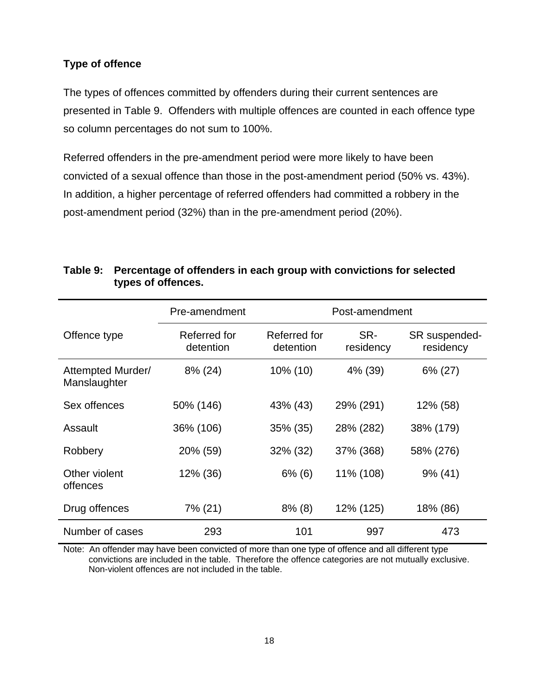## <span id="page-25-0"></span>**Type of offence**

The types of offences committed by offenders during their current sentences are presented in [Table 9.](#page-25-1) Offenders with multiple offences are counted in each offence type so column percentages do not sum to 100%.

Referred offenders in the pre-amendment period were more likely to have been convicted of a sexual offence than those in the post-amendment period (50% vs. 43%). In addition, a higher percentage of referred offenders had committed a robbery in the post-amendment period (32%) than in the pre-amendment period (20%).

|                                   | Pre-amendment             | Post-amendment            |                  |                            |
|-----------------------------------|---------------------------|---------------------------|------------------|----------------------------|
| Offence type                      | Referred for<br>detention | Referred for<br>detention | SR-<br>residency | SR suspended-<br>residency |
| Attempted Murder/<br>Manslaughter | 8% (24)                   | 10% (10)                  | 4% (39)          | 6% (27)                    |
| Sex offences                      | 50% (146)                 | 43% (43)                  | 29% (291)        | 12% (58)                   |
| Assault                           | 36% (106)                 | $35\%$ (35)               | 28% (282)        | 38% (179)                  |
| Robbery                           | 20% (59)                  | 32% (32)                  | 37% (368)        | 58% (276)                  |
| Other violent<br>offences         | 12% (36)                  | $6\%$ (6)                 | 11% (108)        | $9\%$ (41)                 |
| Drug offences                     | 7% (21)                   | $8\%$ (8)                 | 12% (125)        | 18% (86)                   |
| Number of cases                   | 293                       | 101                       | 997              | 473                        |

## <span id="page-25-1"></span>**Table 9: Percentage of offenders in each group with convictions for selected types of offences.**

Note: An offender may have been convicted of more than one type of offence and all different type convictions are included in the table. Therefore the offence categories are not mutually exclusive. Non-violent offences are not included in the table.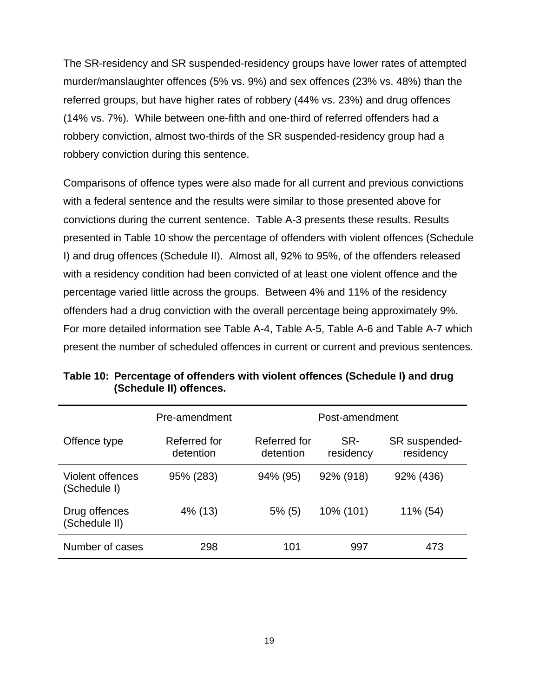The SR-residency and SR suspended-residency groups have lower rates of attempted murder/manslaughter offences (5% vs. 9%) and sex offences (23% vs. 48%) than the referred groups, but have higher rates of robbery (44% vs. 23%) and drug offences (14% vs. 7%). While between one-fifth and one-third of referred offenders had a robbery conviction, almost two-thirds of the SR suspended-residency group had a robbery conviction during this sentence.

Comparisons of offence types were also made for all current and previous convictions with a federal sentence and the results were similar to those presented above for convictions during the current sentence. [Table A-3](#page-41-0) presents these results. Results presented in [Table 10](#page-26-0) show the percentage of offenders with violent offences (Schedule I) and drug offences (Schedule II). Almost all, 92% to 95%, of the offenders released with a residency condition had been convicted of at least one violent offence and the percentage varied little across the groups. Between 4% and 11% of the residency offenders had a drug conviction with the overall percentage being approximately 9%. For more detailed information see [Table A-4,](#page-42-0) [Table A-5,](#page-43-0) [Table A-6](#page-44-0) and [Table A-7](#page-45-0) which present the number of scheduled offences in current or current and previous sentences.

|                                  | Pre-amendment             | Post-amendment            |                  |                            |
|----------------------------------|---------------------------|---------------------------|------------------|----------------------------|
| Offence type                     | Referred for<br>detention | Referred for<br>detention | SR-<br>residency | SR suspended-<br>residency |
| Violent offences<br>(Schedule I) | 95% (283)                 | 94% (95)                  | 92% (918)        | 92% (436)                  |
| Drug offences<br>(Schedule II)   | 4% (13)                   | $5\%$ (5)                 | 10% (101)        | 11% (54)                   |
| Number of cases                  | 298                       | 101                       | 997              | 473                        |

<span id="page-26-0"></span>**Table 10: Percentage of offenders with violent offences (Schedule I) and drug (Schedule II) offences.**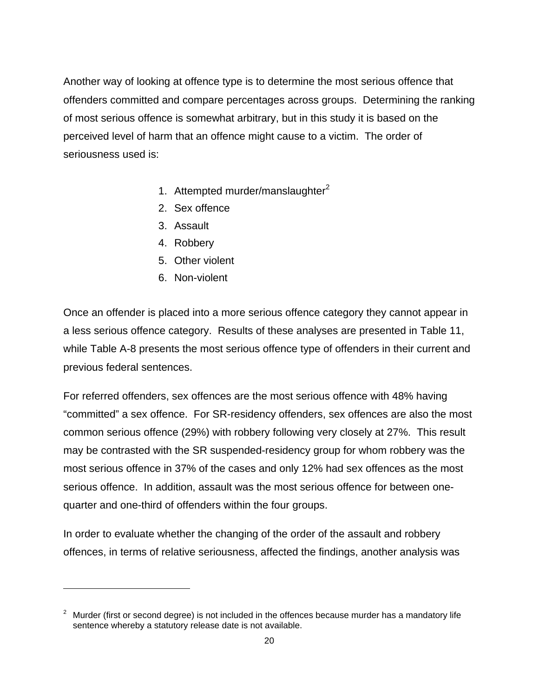Another way of looking at offence type is to determine the most serious offence that offenders committed and compare percentages across groups. Determining the ranking of most serious offence is somewhat arbitrary, but in this study it is based on the perceived level of harm that an offence might cause to a victim. The order of seriousness used is:

- 1. Attempted murder/manslaughter $2$
- 2. Sex offence
- 3. Assault
- 4. Robbery
- 5. Other violent
- 6. Non-violent

 $\overline{a}$ 

Once an offender is placed into a more serious offence category they cannot appear in a less serious offence category. Results of these analyses are presented in [Table 11,](#page-28-1) while [Table A-8](#page-46-0) presents the most serious offence type of offenders in their current and previous federal sentences.

For referred offenders, sex offences are the most serious offence with 48% having "committed" a sex offence. For SR-residency offenders, sex offences are also the most common serious offence (29%) with robbery following very closely at 27%. This result may be contrasted with the SR suspended-residency group for whom robbery was the most serious offence in 37% of the cases and only 12% had sex offences as the most serious offence. In addition, assault was the most serious offence for between onequarter and one-third of offenders within the four groups.

In order to evaluate whether the changing of the order of the assault and robbery offences, in terms of relative seriousness, affected the findings, another analysis was

<span id="page-27-0"></span><sup>2</sup> Murder (first or second degree) is not included in the offences because murder has a mandatory life sentence whereby a statutory release date is not available.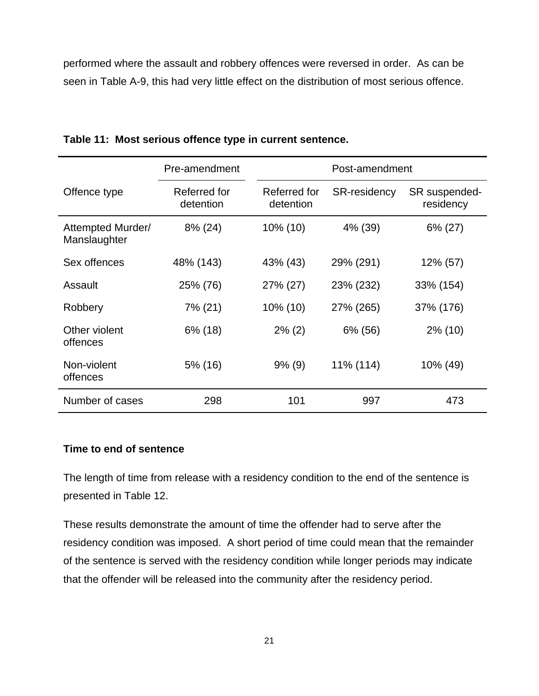performed where the assault and robbery offences were reversed in order. As can be seen in [Table A-9,](#page-47-0) this had very little effect on the distribution of most serious offence.

|                                   | Pre-amendment             |                           | Post-amendment      |                            |
|-----------------------------------|---------------------------|---------------------------|---------------------|----------------------------|
| Offence type                      | Referred for<br>detention | Referred for<br>detention | <b>SR-residency</b> | SR suspended-<br>residency |
| Attempted Murder/<br>Manslaughter | 8% (24)                   | $10\%$ (10)               | 4% (39)             | $6\% (27)$                 |
| Sex offences                      | 48% (143)                 | 43% (43)                  | 29% (291)           | 12% (57)                   |
| Assault                           | 25% (76)                  | 27% (27)                  | 23% (232)           | 33% (154)                  |
| Robbery                           | 7% (21)                   | 10% (10)                  | 27% (265)           | 37% (176)                  |
| Other violent<br>offences         | $6\%$ (18)                | $2\%$ (2)                 | 6% (56)             | $2\%$ (10)                 |
| Non-violent<br>offences           | 5% (16)                   | $9\%$ (9)                 | 11% (114)           | 10% (49)                   |
| Number of cases                   | 298                       | 101                       | 997                 | 473                        |

## <span id="page-28-1"></span>**Table 11: Most serious offence type in current sentence.**

### <span id="page-28-0"></span>**Time to end of sentence**

The length of time from release with a residency condition to the end of the sentence is presented in Table 12.

These results demonstrate the amount of time the offender had to serve after the residency condition was imposed. A short period of time could mean that the remainder of the sentence is served with the residency condition while longer periods may indicate that the offender will be released into the community after the residency period.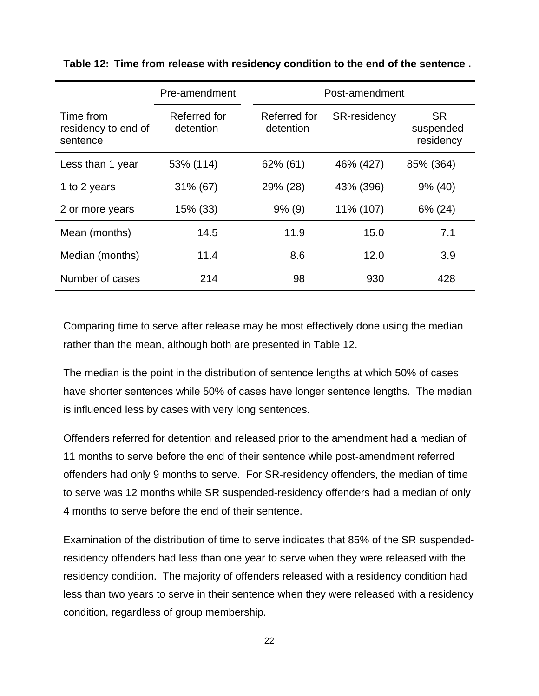|                                              | Pre-amendment             | Post-amendment            |                     |                                      |
|----------------------------------------------|---------------------------|---------------------------|---------------------|--------------------------------------|
| Time from<br>residency to end of<br>sentence | Referred for<br>detention | Referred for<br>detention | <b>SR-residency</b> | <b>SR</b><br>suspended-<br>residency |
| Less than 1 year                             | 53% (114)                 | 62% (61)                  | 46% (427)           | 85% (364)                            |
| 1 to 2 years                                 | $31\%$ (67)               | 29% (28)                  | 43% (396)           | $9\%$ (40)                           |
| 2 or more years                              | 15% (33)                  | $9\%$ (9)                 | 11% (107)           | 6% (24)                              |
| Mean (months)                                | 14.5                      | 11.9                      | 15.0                | 7.1                                  |
| Median (months)                              | 11.4                      | 8.6                       | 12.0                | 3.9                                  |
| Number of cases                              | 214                       | 98                        | 930                 | 428                                  |

<span id="page-29-0"></span>**Table 12: Time from release with residency condition to the end of the sentence .**

Comparing time to serve after release may be most effectively done using the median rather than the mean, although both are presented in Table 12.

The median is the point in the distribution of sentence lengths at which 50% of cases have shorter sentences while 50% of cases have longer sentence lengths. The median is influenced less by cases with very long sentences.

Offenders referred for detention and released prior to the amendment had a median of 11 months to serve before the end of their sentence while post-amendment referred offenders had only 9 months to serve. For SR-residency offenders, the median of time to serve was 12 months while SR suspended-residency offenders had a median of only 4 months to serve before the end of their sentence.

Examination of the distribution of time to serve indicates that 85% of the SR suspendedresidency offenders had less than one year to serve when they were released with the residency condition. The majority of offenders released with a residency condition had less than two years to serve in their sentence when they were released with a residency condition, regardless of group membership.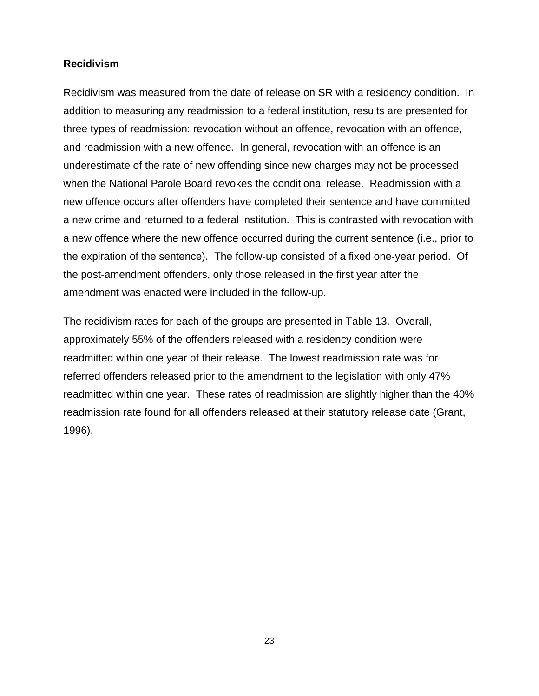### <span id="page-30-0"></span>**Recidivism**

Recidivism was measured from the date of release on SR with a residency condition. In addition to measuring any readmission to a federal institution, results are presented for three types of readmission: revocation without an offence, revocation with an offence, and readmission with a new offence. In general, revocation with an offence is an underestimate of the rate of new offending since new charges may not be processed when the National Parole Board revokes the conditional release. Readmission with a new offence occurs after offenders have completed their sentence and have committed a new crime and returned to a federal institution. This is contrasted with revocation with a new offence where the new offence occurred during the current sentence (i.e., prior to the expiration of the sentence). The follow-up consisted of a fixed one-year period. Of the post-amendment offenders, only those released in the first year after the amendment was enacted were included in the follow-up.

The recidivism rates for each of the groups are presented in [Table 13.](#page-31-0) Overall, approximately 55% of the offenders released with a residency condition were readmitted within one year of their release. The lowest readmission rate was for referred offenders released prior to the amendment to the legislation with only 47% readmitted within one year. These rates of readmission are slightly higher than the 40% readmission rate found for all offenders released at their statutory release date (Grant, 1996).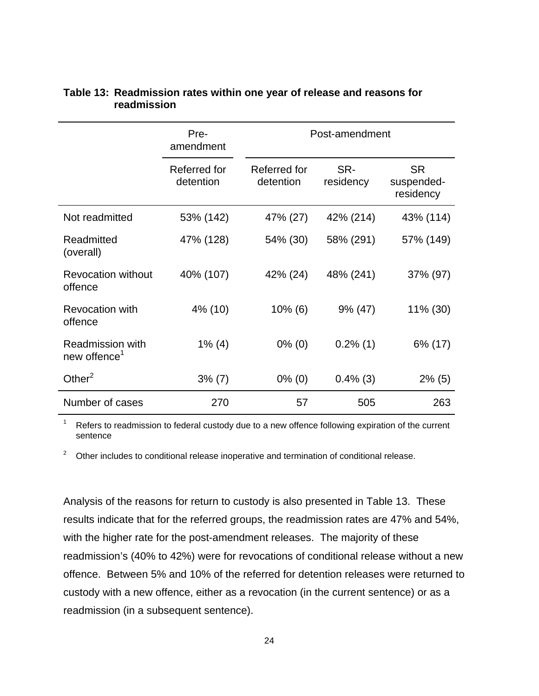|                                                     | Pre-<br>amendment         |                           | Post-amendment   |                                      |
|-----------------------------------------------------|---------------------------|---------------------------|------------------|--------------------------------------|
|                                                     | Referred for<br>detention | Referred for<br>detention | SR-<br>residency | <b>SR</b><br>suspended-<br>residency |
| Not readmitted                                      | 53% (142)                 | 47% (27)                  | 42% (214)        | 43% (114)                            |
| Readmitted<br>(overall)                             | 47% (128)                 | 54% (30)                  | 58% (291)        | 57% (149)                            |
| <b>Revocation without</b><br>offence                | 40% (107)                 | 42% (24)                  | 48% (241)        | 37% (97)                             |
| <b>Revocation with</b><br>offence                   | 4% (10)                   | $10\%$ (6)                | $9\% (47)$       | 11% (30)                             |
| <b>Readmission with</b><br>new offence <sup>1</sup> | $1\%$ (4)                 | $0\%$ (0)                 | $0.2\%$ (1)      | 6% (17)                              |
| Other $^2$                                          | $3\%$ (7)                 | $0\%$ (0)                 | $0.4\%$ (3)      | $2\%$ (5)                            |
| Number of cases                                     | 270                       | 57                        | 505              | 263                                  |

#### <span id="page-31-0"></span>**Table 13: Readmission rates within one year of release and reasons for readmission**

1 Refers to readmission to federal custody due to a new offence following expiration of the current sentence

 $2$  Other includes to conditional release inoperative and termination of conditional release.

Analysis of the reasons for return to custody is also presented in [Table 13.](#page-31-0) These results indicate that for the referred groups, the readmission rates are 47% and 54%, with the higher rate for the post-amendment releases. The majority of these readmission's (40% to 42%) were for revocations of conditional release without a new offence. Between 5% and 10% of the referred for detention releases were returned to custody with a new offence, either as a revocation (in the current sentence) or as a readmission (in a subsequent sentence).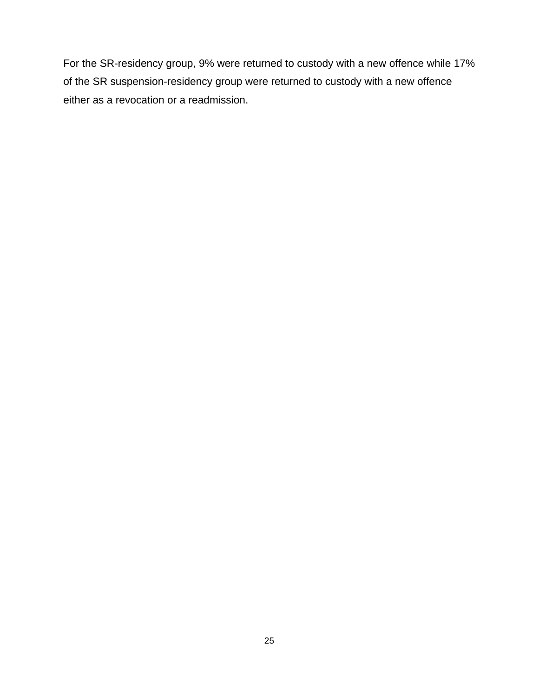For the SR-residency group, 9% were returned to custody with a new offence while 17% of the SR suspension-residency group were returned to custody with a new offence either as a revocation or a readmission.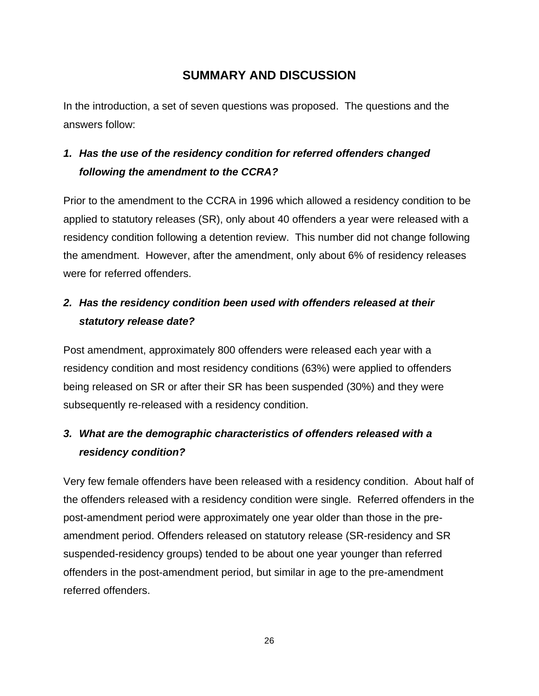# <span id="page-33-0"></span>**SUMMARY AND DISCUSSION**

In the introduction, a set of seven questions was proposed. The questions and the answers follow:

# *1. Has the use of the residency condition for referred offenders changed following the amendment to the CCRA?*

Prior to the amendment to the CCRA in 1996 which allowed a residency condition to be applied to statutory releases (SR), only about 40 offenders a year were released with a residency condition following a detention review. This number did not change following the amendment. However, after the amendment, only about 6% of residency releases were for referred offenders.

# *2. Has the residency condition been used with offenders released at their statutory release date?*

Post amendment, approximately 800 offenders were released each year with a residency condition and most residency conditions (63%) were applied to offenders being released on SR or after their SR has been suspended (30%) and they were subsequently re-released with a residency condition.

# *3. What are the demographic characteristics of offenders released with a residency condition?*

Very few female offenders have been released with a residency condition. About half of the offenders released with a residency condition were single. Referred offenders in the post-amendment period were approximately one year older than those in the preamendment period. Offenders released on statutory release (SR-residency and SR suspended-residency groups) tended to be about one year younger than referred offenders in the post-amendment period, but similar in age to the pre-amendment referred offenders.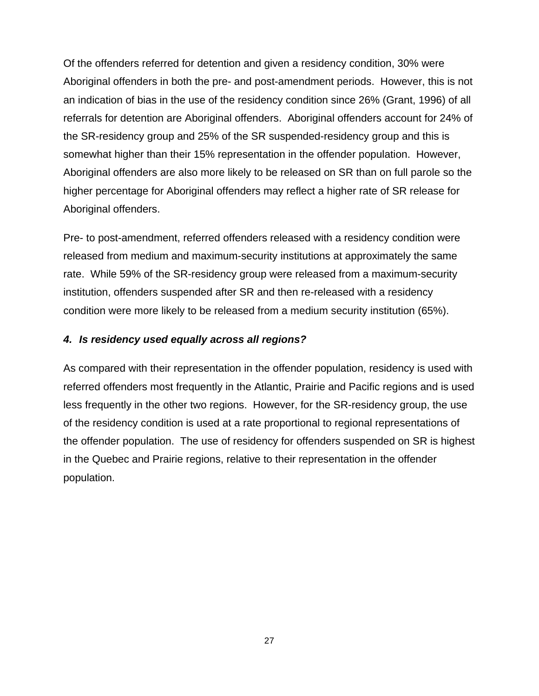Of the offenders referred for detention and given a residency condition, 30% were Aboriginal offenders in both the pre- and post-amendment periods. However, this is not an indication of bias in the use of the residency condition since 26% (Grant, 1996) of all referrals for detention are Aboriginal offenders. Aboriginal offenders account for 24% of the SR-residency group and 25% of the SR suspended-residency group and this is somewhat higher than their 15% representation in the offender population. However, Aboriginal offenders are also more likely to be released on SR than on full parole so the higher percentage for Aboriginal offenders may reflect a higher rate of SR release for Aboriginal offenders.

Pre- to post-amendment, referred offenders released with a residency condition were released from medium and maximum-security institutions at approximately the same rate. While 59% of the SR-residency group were released from a maximum-security institution, offenders suspended after SR and then re-released with a residency condition were more likely to be released from a medium security institution (65%).

### *4. Is residency used equally across all regions?*

As compared with their representation in the offender population, residency is used with referred offenders most frequently in the Atlantic, Prairie and Pacific regions and is used less frequently in the other two regions. However, for the SR-residency group, the use of the residency condition is used at a rate proportional to regional representations of the offender population. The use of residency for offenders suspended on SR is highest in the Quebec and Prairie regions, relative to their representation in the offender population.

27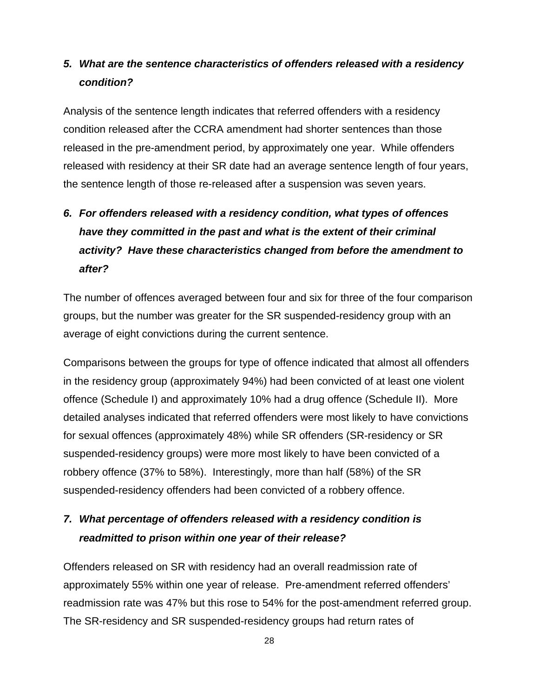# *5. What are the sentence characteristics of offenders released with a residency condition?*

Analysis of the sentence length indicates that referred offenders with a residency condition released after the CCRA amendment had shorter sentences than those released in the pre-amendment period, by approximately one year. While offenders released with residency at their SR date had an average sentence length of four years, the sentence length of those re-released after a suspension was seven years.

# *6. For offenders released with a residency condition, what types of offences have they committed in the past and what is the extent of their criminal activity? Have these characteristics changed from before the amendment to after?*

The number of offences averaged between four and six for three of the four comparison groups, but the number was greater for the SR suspended-residency group with an average of eight convictions during the current sentence.

Comparisons between the groups for type of offence indicated that almost all offenders in the residency group (approximately 94%) had been convicted of at least one violent offence (Schedule I) and approximately 10% had a drug offence (Schedule II). More detailed analyses indicated that referred offenders were most likely to have convictions for sexual offences (approximately 48%) while SR offenders (SR-residency or SR suspended-residency groups) were more most likely to have been convicted of a robbery offence (37% to 58%). Interestingly, more than half (58%) of the SR suspended-residency offenders had been convicted of a robbery offence.

# *7. What percentage of offenders released with a residency condition is readmitted to prison within one year of their release?*

Offenders released on SR with residency had an overall readmission rate of approximately 55% within one year of release. Pre-amendment referred offenders' readmission rate was 47% but this rose to 54% for the post-amendment referred group. The SR-residency and SR suspended-residency groups had return rates of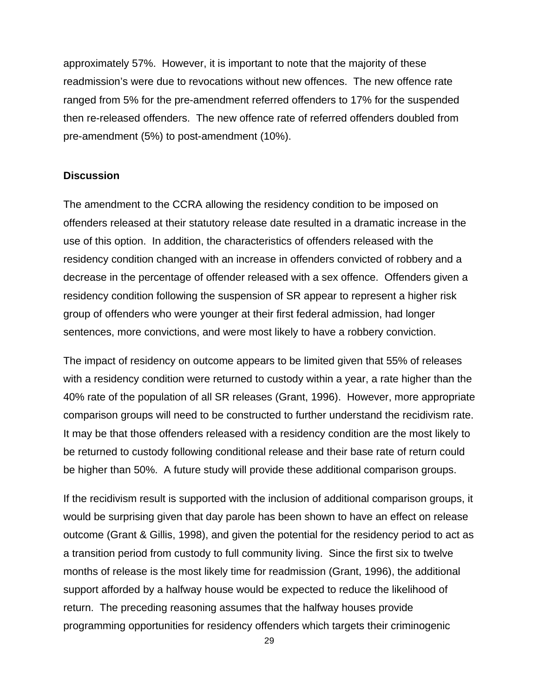approximately 57%. However, it is important to note that the majority of these readmission's were due to revocations without new offences. The new offence rate ranged from 5% for the pre-amendment referred offenders to 17% for the suspended then re-released offenders. The new offence rate of referred offenders doubled from pre-amendment (5%) to post-amendment (10%).

#### <span id="page-36-0"></span>**Discussion**

The amendment to the CCRA allowing the residency condition to be imposed on offenders released at their statutory release date resulted in a dramatic increase in the use of this option. In addition, the characteristics of offenders released with the residency condition changed with an increase in offenders convicted of robbery and a decrease in the percentage of offender released with a sex offence. Offenders given a residency condition following the suspension of SR appear to represent a higher risk group of offenders who were younger at their first federal admission, had longer sentences, more convictions, and were most likely to have a robbery conviction.

The impact of residency on outcome appears to be limited given that 55% of releases with a residency condition were returned to custody within a year, a rate higher than the 40% rate of the population of all SR releases (Grant, 1996). However, more appropriate comparison groups will need to be constructed to further understand the recidivism rate. It may be that those offenders released with a residency condition are the most likely to be returned to custody following conditional release and their base rate of return could be higher than 50%. A future study will provide these additional comparison groups.

If the recidivism result is supported with the inclusion of additional comparison groups, it would be surprising given that day parole has been shown to have an effect on release outcome (Grant & Gillis, 1998), and given the potential for the residency period to act as a transition period from custody to full community living. Since the first six to twelve months of release is the most likely time for readmission (Grant, 1996), the additional support afforded by a halfway house would be expected to reduce the likelihood of return. The preceding reasoning assumes that the halfway houses provide programming opportunities for residency offenders which targets their criminogenic

29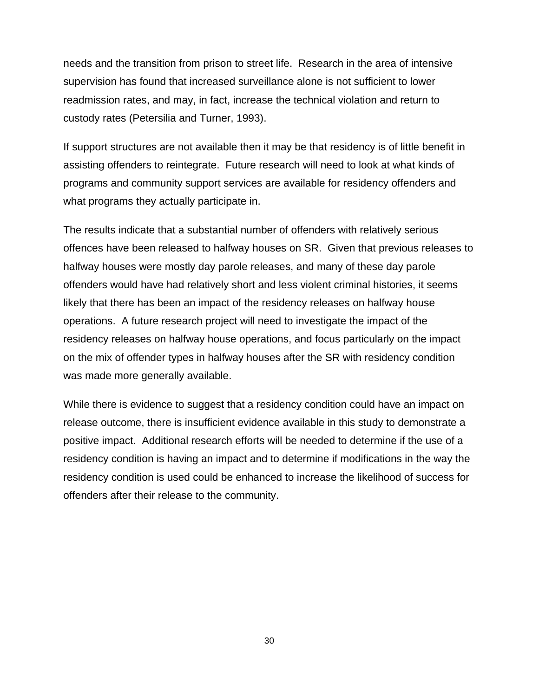needs and the transition from prison to street life. Research in the area of intensive supervision has found that increased surveillance alone is not sufficient to lower readmission rates, and may, in fact, increase the technical violation and return to custody rates (Petersilia and Turner, 1993).

If support structures are not available then it may be that residency is of little benefit in assisting offenders to reintegrate. Future research will need to look at what kinds of programs and community support services are available for residency offenders and what programs they actually participate in.

The results indicate that a substantial number of offenders with relatively serious offences have been released to halfway houses on SR. Given that previous releases to halfway houses were mostly day parole releases, and many of these day parole offenders would have had relatively short and less violent criminal histories, it seems likely that there has been an impact of the residency releases on halfway house operations. A future research project will need to investigate the impact of the residency releases on halfway house operations, and focus particularly on the impact on the mix of offender types in halfway houses after the SR with residency condition was made more generally available.

While there is evidence to suggest that a residency condition could have an impact on release outcome, there is insufficient evidence available in this study to demonstrate a positive impact. Additional research efforts will be needed to determine if the use of a residency condition is having an impact and to determine if modifications in the way the residency condition is used could be enhanced to increase the likelihood of success for offenders after their release to the community.

30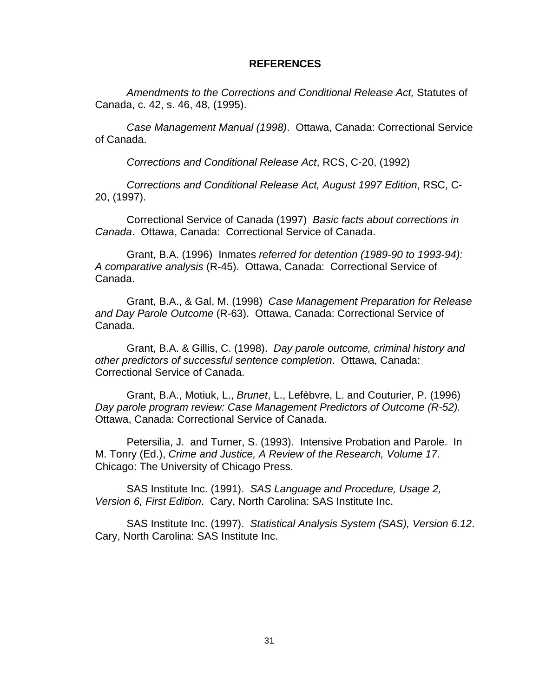#### <span id="page-38-0"></span>**REFERENCES**

*Amendments to the Corrections and Conditional Release Act,* Statutes of Canada, c. 42, s. 46, 48, (1995).

*Case Management Manual (1998)*. Ottawa, Canada: Correctional Service of Canada.

*Corrections and Conditional Release Act*, RCS, C-20, (1992)

*Corrections and Conditional Release Act, August 1997 Edition*, RSC, C-20, (1997).

Correctional Service of Canada (1997) *Basic facts about corrections in Canada*. Ottawa, Canada: Correctional Service of Canada.

Grant, B.A. (1996) Inmates *referred for detention (1989-90 to 1993-94): A comparative analysis* (R-45). Ottawa, Canada: Correctional Service of Canada.

Grant, B.A., & Gal, M. (1998) *Case Management Preparation for Release and Day Parole Outcome* (R-63). Ottawa, Canada: Correctional Service of Canada.

Grant, B.A. & Gillis, C. (1998). *Day parole outcome, criminal history and other predictors of successful sentence completion*. Ottawa, Canada: Correctional Service of Canada.

Grant, B.A., Motiuk, L., *Brunet*, L., Lefèbvre, L. and Couturier, P. (1996) *Day parole program review: Case Management Predictors of Outcome (R-52).* Ottawa, Canada: Correctional Service of Canada.

Petersilia, J. and Turner, S. (1993). Intensive Probation and Parole. In M. Tonry (Ed.), *Crime and Justice, A Review of the Research, Volume 17*. Chicago: The University of Chicago Press.

SAS Institute Inc. (1991). *SAS Language and Procedure, Usage 2, Version 6, First Edition*. Cary, North Carolina: SAS Institute Inc.

SAS Institute Inc. (1997). *Statistical Analysis System (SAS), Version 6.12*. Cary, North Carolina: SAS Institute Inc.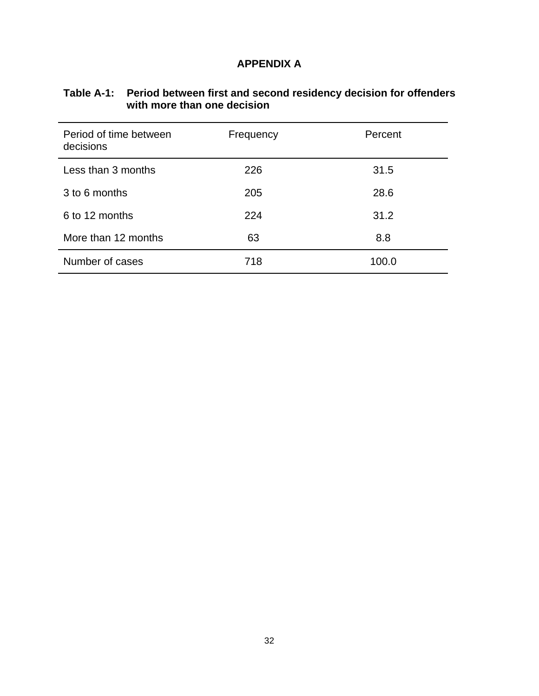## <span id="page-39-0"></span>**APPENDIX A**

# <span id="page-39-1"></span>**Table A-1: Period between first and second residency decision for offenders with more than one decision**

| Period of time between<br>decisions | Frequency | Percent |
|-------------------------------------|-----------|---------|
| Less than 3 months                  | 226       | 31.5    |
| 3 to 6 months                       | 205       | 28.6    |
| 6 to 12 months                      | 224       | 31.2    |
| More than 12 months                 | 63        | 8.8     |
| Number of cases                     | 718       | 100.0   |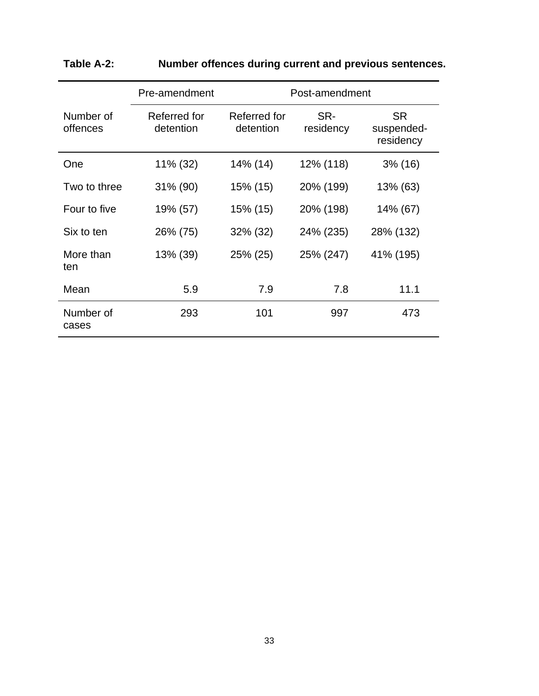|                       | Pre-amendment             |                           | Post-amendment   |                                      |
|-----------------------|---------------------------|---------------------------|------------------|--------------------------------------|
| Number of<br>offences | Referred for<br>detention | Referred for<br>detention | SR-<br>residency | <b>SR</b><br>suspended-<br>residency |
| One                   | 11% (32)                  | 14% (14)                  | 12% (118)        | $3\%$ (16)                           |
| Two to three          | 31% (90)                  | 15% (15)                  | 20% (199)        | 13% (63)                             |
| Four to five          | 19% (57)                  | 15% (15)                  | 20% (198)        | 14% (67)                             |
| Six to ten            | 26% (75)                  | 32% (32)                  | 24% (235)        | 28% (132)                            |
| More than<br>ten      | 13% (39)                  | 25% (25)                  | 25% (247)        | 41% (195)                            |
| Mean                  | 5.9                       | 7.9                       | 7.8              | 11.1                                 |
| Number of<br>cases    | 293                       | 101                       | 997              | 473                                  |

# <span id="page-40-0"></span>**Table A-2: Number offences during current and previous sentences.**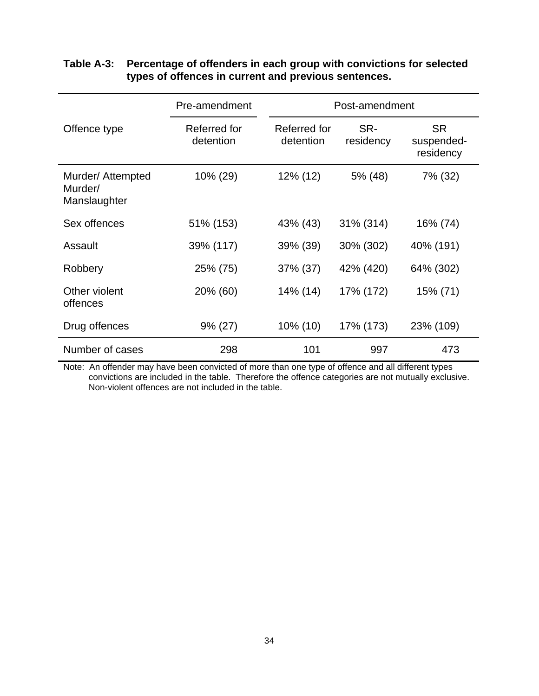|                                              | Pre-amendment             | Post-amendment            |                  |                                      |
|----------------------------------------------|---------------------------|---------------------------|------------------|--------------------------------------|
| Offence type                                 | Referred for<br>detention | Referred for<br>detention | SR-<br>residency | <b>SR</b><br>suspended-<br>residency |
| Murder/ Attempted<br>Murder/<br>Manslaughter | 10% (29)                  | 12% (12)                  | 5% (48)          | 7% (32)                              |
| Sex offences                                 | 51% (153)                 | 43% (43)                  | 31% (314)        | 16% (74)                             |
| Assault                                      | 39% (117)                 | 39% (39)                  | 30% (302)        | 40% (191)                            |
| Robbery                                      | 25% (75)                  | 37% (37)                  | 42% (420)        | 64% (302)                            |
| Other violent<br>offences                    | 20% (60)                  | 14% (14)                  | 17% (172)        | 15% (71)                             |
| Drug offences                                | $9\% (27)$                | 10% (10)                  | 17% (173)        | 23% (109)                            |
| Number of cases                              | 298                       | 101                       | 997              | 473                                  |

## <span id="page-41-0"></span>**Table A-3: Percentage of offenders in each group with convictions for selected types of offences in current and previous sentences.**

Note: An offender may have been convicted of more than one type of offence and all different types convictions are included in the table. Therefore the offence categories are not mutually exclusive. Non-violent offences are not included in the table.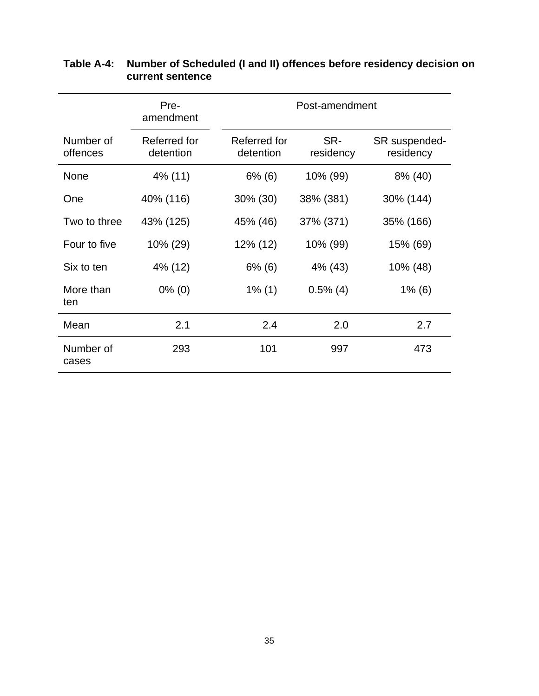|                       | Pre-<br>amendment         | Post-amendment            |                  |                            |
|-----------------------|---------------------------|---------------------------|------------------|----------------------------|
| Number of<br>offences | Referred for<br>detention | Referred for<br>detention | SR-<br>residency | SR suspended-<br>residency |
| None                  | 4% (11)                   | $6\%$ (6)                 | 10% (99)         | 8% (40)                    |
| One                   | 40% (116)                 | 30% (30)                  | 38% (381)        | 30% (144)                  |
| Two to three          | 43% (125)                 | 45% (46)                  | 37% (371)        | 35% (166)                  |
| Four to five          | 10% (29)                  | 12% (12)                  | 10% (99)         | 15% (69)                   |
| Six to ten            | 4% (12)                   | $6\%$ (6)                 | 4% (43)          | 10% (48)                   |
| More than<br>ten      | $0\%$ (0)                 | $1\%$ (1)                 | $0.5\%$ (4)      | $1\%$ (6)                  |
| Mean                  | 2.1                       | 2.4                       | 2.0              | 2.7                        |
| Number of<br>cases    | 293                       | 101                       | 997              | 473                        |

## <span id="page-42-0"></span>**Table A-4: Number of Scheduled (I and II) offences before residency decision on current sentence**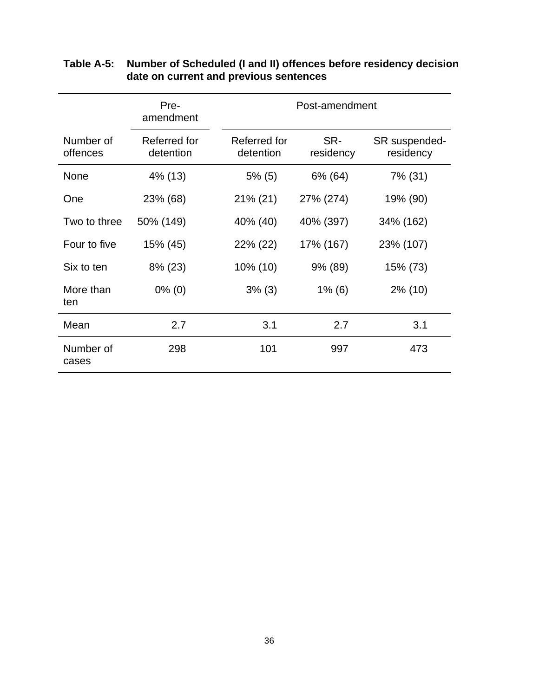|                       | Pre-<br>amendment         | Post-amendment            |                  |                            |
|-----------------------|---------------------------|---------------------------|------------------|----------------------------|
| Number of<br>offences | Referred for<br>detention | Referred for<br>detention | SR-<br>residency | SR suspended-<br>residency |
| None                  | 4% (13)                   | $5\%$ (5)                 | 6% (64)          | 7% (31)                    |
| One                   | 23% (68)                  | $21\% (21)$               | 27% (274)        | 19% (90)                   |
| Two to three          | 50% (149)                 | 40% (40)                  | 40% (397)        | 34% (162)                  |
| Four to five          | 15% (45)                  | 22% (22)                  | 17% (167)        | 23% (107)                  |
| Six to ten            | 8% (23)                   | 10% (10)                  | 9% (89)          | 15% (73)                   |
| More than<br>ten      | $0\%$ (0)                 | $3\%$ (3)                 | $1\%$ (6)        | $2\%$ (10)                 |
| Mean                  | 2.7                       | 3.1                       | 2.7              | 3.1                        |
| Number of<br>cases    | 298                       | 101                       | 997              | 473                        |

### <span id="page-43-0"></span>**Table A-5: Number of Scheduled (I and II) offences before residency decision date on current and previous sentences**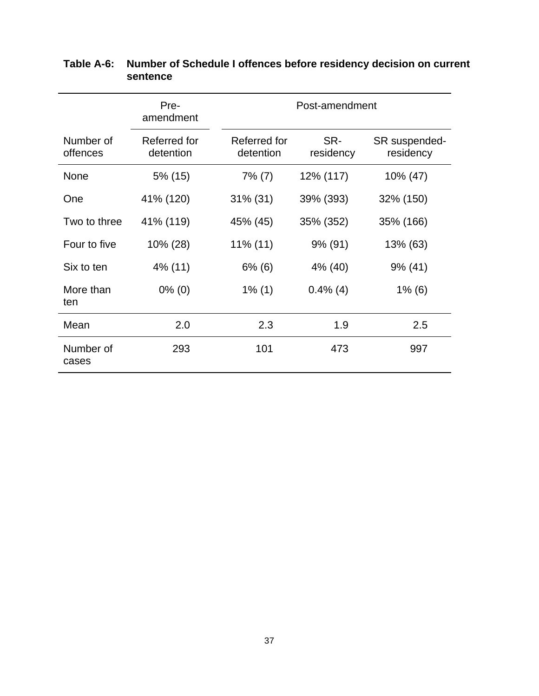|                       | Pre-<br>amendment         | Post-amendment            |                  |                            |
|-----------------------|---------------------------|---------------------------|------------------|----------------------------|
| Number of<br>offences | Referred for<br>detention | Referred for<br>detention | SR-<br>residency | SR suspended-<br>residency |
| None                  | 5% (15)                   | $7\%$ (7)                 | 12% (117)        | 10% (47)                   |
| One                   | 41% (120)                 | $31\%$ (31)               | 39% (393)        | 32% (150)                  |
| Two to three          | 41% (119)                 | 45% (45)                  | 35% (352)        | 35% (166)                  |
| Four to five          | 10% (28)                  | $11\%$ (11)               | 9% (91)          | 13% (63)                   |
| Six to ten            | 4% (11)                   | $6\%$ (6)                 | 4% (40)          | $9\%$ (41)                 |
| More than<br>ten      | $0\%$ (0)                 | $1\%$ (1)                 | $0.4\%$ (4)      | $1\%$ (6)                  |
| Mean                  | 2.0                       | 2.3                       | 1.9              | 2.5                        |
| Number of<br>cases    | 293                       | 101                       | 473              | 997                        |

## <span id="page-44-0"></span>**Table A-6: Number of Schedule I offences before residency decision on current sentence**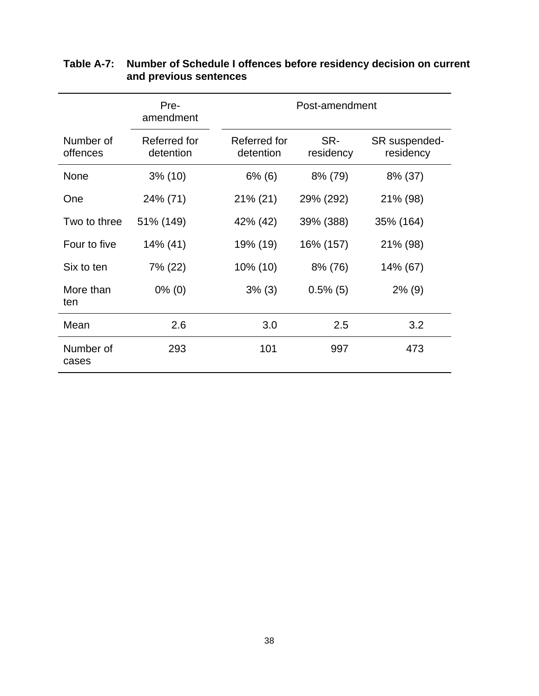|                       | Pre-<br>amendment         | Post-amendment            |                  |                            |
|-----------------------|---------------------------|---------------------------|------------------|----------------------------|
| Number of<br>offences | Referred for<br>detention | Referred for<br>detention | SR-<br>residency | SR suspended-<br>residency |
| None                  | $3\%$ (10)                | $6\%$ (6)                 | 8% (79)          | 8% (37)                    |
| One                   | 24% (71)                  | 21% (21)                  | 29% (292)        | 21% (98)                   |
| Two to three          | 51% (149)                 | 42% (42)                  | 39% (388)        | 35% (164)                  |
| Four to five          | 14% (41)                  | 19% (19)                  | 16% (157)        | 21% (98)                   |
| Six to ten            | 7% (22)                   | 10% (10)                  | 8% (76)          | 14% (67)                   |
| More than<br>ten      | $0\%$ (0)                 | $3\%$ (3)                 | $0.5\%$ (5)      | $2\%$ (9)                  |
| Mean                  | 2.6                       | 3.0                       | 2.5              | 3.2                        |
| Number of<br>cases    | 293                       | 101                       | 997              | 473                        |

## <span id="page-45-0"></span>**Table A-7: Number of Schedule I offences before residency decision on current and previous sentences**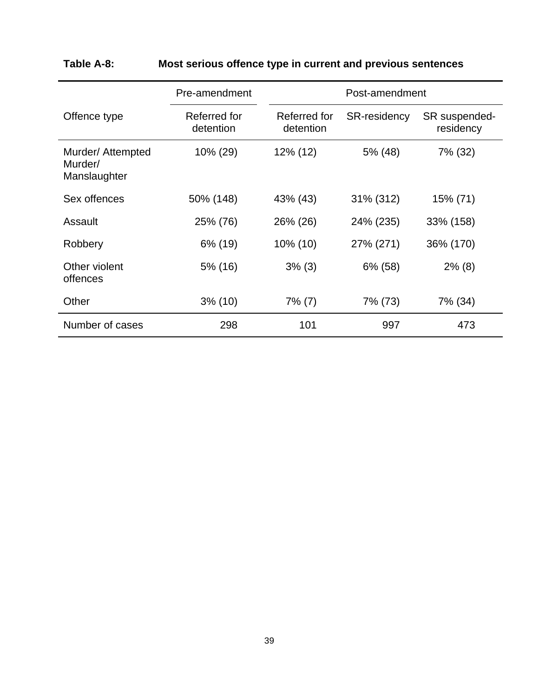|                                              | Pre-amendment             |                           | Post-amendment |                            |
|----------------------------------------------|---------------------------|---------------------------|----------------|----------------------------|
| Offence type                                 | Referred for<br>detention | Referred for<br>detention | SR-residency   | SR suspended-<br>residency |
| Murder/ Attempted<br>Murder/<br>Manslaughter | 10% (29)                  | 12% (12)                  | 5% (48)        | 7% (32)                    |
| Sex offences                                 | 50% (148)                 | 43% (43)                  | 31% (312)      | 15% (71)                   |
| Assault                                      | 25% (76)                  | 26% (26)                  | 24% (235)      | 33% (158)                  |
| Robbery                                      | 6% (19)                   | 10% (10)                  | 27% (271)      | 36% (170)                  |
| Other violent<br>offences                    | 5% (16)                   | $3\%$ (3)                 | 6% (58)        | $2\%$ (8)                  |
| Other                                        | 3% (10)                   | $7\%$ (7)                 | 7% (73)        | 7% (34)                    |
| Number of cases                              | 298                       | 101                       | 997            | 473                        |

# <span id="page-46-0"></span>**Table A-8: Most serious offence type in current and previous sentences**